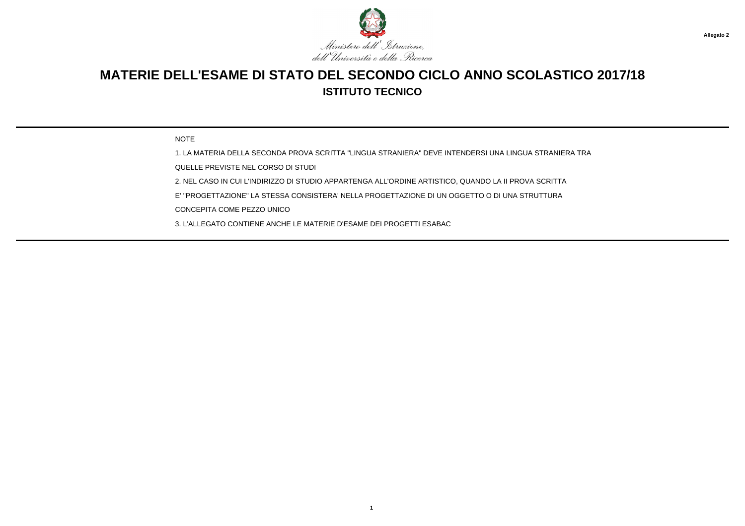

## **MATERIE DELL'ESAME DI STATO DEL SECONDO CICLO ANNO SCOLASTICO 2017/18ISTITUTO TECNICO**

NOTE

1. LA MATERIA DELLA SECONDA PROVA SCRITTA "LINGUA STRANIERA" DEVE INTENDERSI UNA LINGUA STRANIERA TRA

QUELLE PREVISTE NEL CORSO DI STUDI

2. NEL CASO IN CUI L'INDIRIZZO DI STUDIO APPARTENGA ALL'ORDINE ARTISTICO, QUANDO LA II PROVA SCRITTA

E' "PROGETTAZIONE" LA STESSA CONSISTERA' NELLA PROGETTAZIONE DI UN OGGETTO O DI UNA STRUTTURA

CONCEPITA COME PEZZO UNICO

3. L'ALLEGATO CONTIENE ANCHE LE MATERIE D'ESAME DEI PROGETTI ESABAC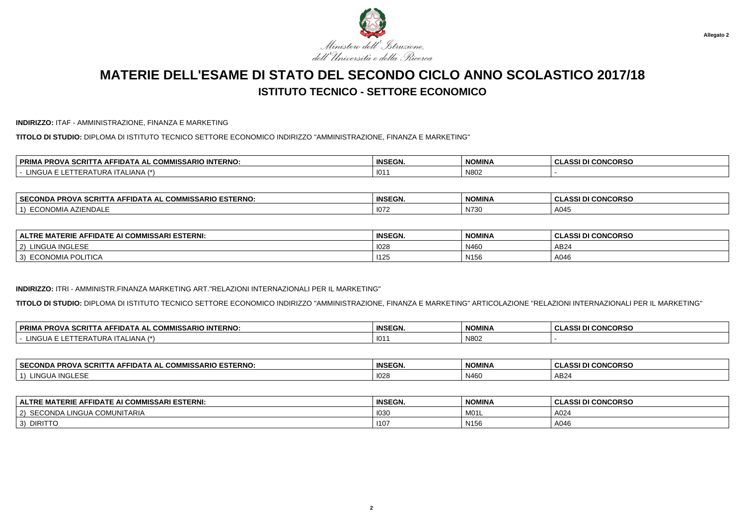

#### **INDIRIZZO:** ITAF - AMMINISTRAZIONE, FINANZA E MARKETING

**TITOLO DI STUDIO:** DIPLOMA DI ISTITUTO TECNICO SETTORE ECONOMICO INDIRIZZO "AMMINISTRAZIONE, FINANZA E MARKETING"

| -----<br><b>SCRI</b><br><b>AMMIC</b><br><b>IMISSARIO INTERNO:</b><br><b>PROV</b><br>HDA).<br>. Al<br>. AF .<br>uum<br>$\overline{\phantom{a}}$ | <b>INSEGN.</b> | <b>NOMINA</b> | <b>CONCORSC</b><br>$\mathbf{A}$<br>ึ บนสออเ มเ |
|------------------------------------------------------------------------------------------------------------------------------------------------|----------------|---------------|------------------------------------------------|
| $(*)$<br>101C<br>I ALIANA<br>URA<br>דישו<br>____                                                                                               | 101            | N802          |                                                |

| <b>SECONDA</b><br><b>ESTERNO.</b><br>----<br><b>COMMISSARIO</b><br>`^RITT⊾.<br>FIDATA AL<br>. AF<br>ง ค.อเ<br>-ש | <b>INSEGN.</b> | NOMINA                  | <b>CONCORSO</b><br>. .<br>$\cdots$<br>.<br>w<br>u |
|------------------------------------------------------------------------------------------------------------------|----------------|-------------------------|---------------------------------------------------|
| $\sim$<br>ECONO'<br>୵୲∟<br>ZIENDALE<br>viia i                                                                    | 1072           | $\mathbf{N}$<br>IN 7.50 | $\Lambda$ $\Omega$<br>¬∪┭◡                        |

| : AFFIDATE AI COMMISSARI ESTERNI:<br><b>IATERIE</b><br><b>ALTRE</b> | <b>INSEGN.</b> | <b>NOMINA</b>    | <b>I CONCORSO</b><br>10011<br>-GLASSI DI |
|---------------------------------------------------------------------|----------------|------------------|------------------------------------------|
| A INGLESE.<br>LINGU<br>2)<br><b>INGLESE</b>                         | 1028           | N460             | AB24                                     |
| ੇ POLITICA<br>ECONOMIA<br>$\mathcal{L}$<br>ر ب                      | 1125           | N <sub>156</sub> | A046                                     |

### **INDIRIZZO:** ITRI - AMMINISTR.FINANZA MARKETING ART."RELAZIONI INTERNAZIONALI PER IL MARKETING"

**TITOLO DI STUDIO:** DIPLOMA DI ISTITUTO TECNICO SETTORE ECONOMICO INDIRIZZO "AMMINISTRAZIONE, FINANZA E MARKETING" ARTICOLAZIONE "RELAZIONI INTERNAZIONALI PER IL MARKETING"

| <b>、SCRIT</b><br><b>PRIM/</b><br><b>COMMISSARIO INTERNO:</b><br><b>PROVA</b><br>AFFIDAT.<br>A AL<br>IA AD | <b>INSEGN.</b> | <b>NOMINA</b> | <b>CLASSI DI CONCORSO</b> |
|-----------------------------------------------------------------------------------------------------------|----------------|---------------|---------------------------|
| .<br>.<br>4 <sup>2</sup><br><b>INGL</b><br>'IA I<br>I ALIANA<br>.                                         | 101            | N802          |                           |

| <b>SECONDA</b><br>COMMISSARIO ESTERNO: ــ.<br><br>.<br>→ AFFIDATA AL 1<br>CRIT<br>-ru | <b>INSEGN.</b> | <b>NOMINA</b> | <b>CONCORSO</b><br>$\cdots$<br>w<br>133 U<br>u |
|---------------------------------------------------------------------------------------|----------------|---------------|------------------------------------------------|
| INGU,<br>$\mathbf{a}$<br>™GLES∟                                                       | 1028           | N460          | AB24                                           |

| F AFFIDATE AI COMMISSARI ESTERNI.<br><b>ALTRE MATERIE,</b> | <b>INSEGN.</b> | <b>NOMINA</b>    | I CONCORSO<br>DI.<br>. |
|------------------------------------------------------------|----------------|------------------|------------------------|
| . COMUNITARIA<br>,,,,,,<br>CONDA LINGUA<br>$\sim$<br>∠     | 1030           | M01L             | A024                   |
| <b>DIRITTC</b><br>$\sim$<br>$\cdot$                        | 1107           | N <sub>156</sub> | A046                   |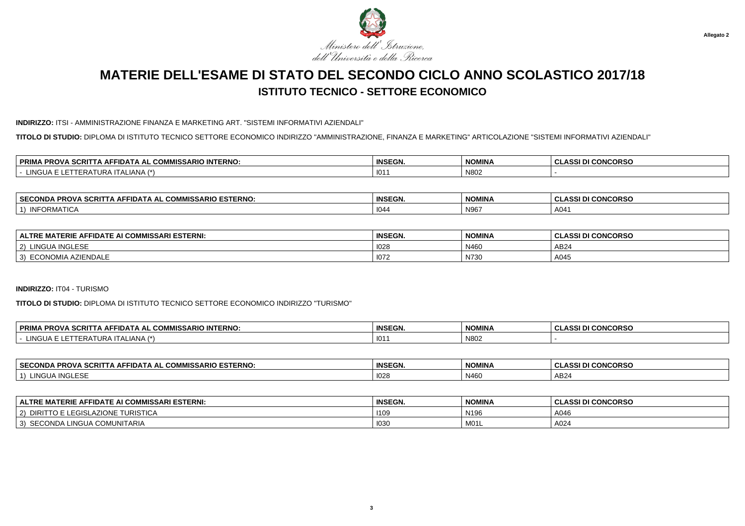

#### **INDIRIZZO:** ITSI - AMMINISTRAZIONE FINANZA E MARKETING ART. "SISTEMI INFORMATIVI AZIENDALI"

**TITOLO DI STUDIO:** DIPLOMA DI ISTITUTO TECNICO SETTORE ECONOMICO INDIRIZZO "AMMINISTRAZIONE, FINANZA E MARKETING" ARTICOLAZIONE "SISTEMI INFORMATIVI AZIENDALI"

| <b>PRIM</b><br>A SCRIT<br>L COMMISSARIO INTERNO:<br>PROV.<br>'TA AFFIDATA<br>۱AL.<br>ww | <b>INSEGN.</b> | <b>NOMINA</b> | <b>I CONCORSO</b><br><b>CLASSI</b> |
|-----------------------------------------------------------------------------------------|----------------|---------------|------------------------------------|
| $\left( 1 + \right)$<br>101C<br>$\cdots$<br>ITALIANA.<br>URP<br><b>HNG</b><br>____      | 101            | N80           |                                    |

| <b>SECON</b><br><b>- סוג</b><br>$- -$<br><u>^^``</u><br>.<br><b>FIDATA</b><br>л.<br>$\mathbf{v}$<br>ISSARIL<br>ESIERNU<br>.JND'<br>- r.u<br>$\cdots$ | <b>INSEGN.</b> | <b>NOMINA</b> | <b>:ONCORSC</b><br>$\mathbf{A}$ |
|------------------------------------------------------------------------------------------------------------------------------------------------------|----------------|---------------|---------------------------------|
| INIEODIMATIC<br>JRIVIA<br>חטווח                                                                                                                      | 1044           | N96           | A04                             |

| <i>I</i> MISSARI ESTERNI:<br>ERIE<br><b>ALTRE</b><br><b>AFFIDATL</b><br>- ALUN | <b>INSEGN.</b> | <b>NOMINA</b> | <b>I CONCORSO</b><br>0.001<br>ิ งมลงงเมเ |
|--------------------------------------------------------------------------------|----------------|---------------|------------------------------------------|
| INGI ESE<br>LINGU<br>2)<br>1110LE 3E                                           | 1028           | N460          | AB24                                     |
| <b>IENDALE</b><br><b>ECONOMIA</b><br>3)                                        | 1072           | N730          | A045                                     |

#### **INDIRIZZO:** IT04 - TURISMO

**TITOLO DI STUDIO:** DIPLOMA DI ISTITUTO TECNICO SETTORE ECONOMICO INDIRIZZO "TURISMO"

| . COMMISSARIO INTERNO:<br><b>. PROVA SCRITT</b><br><b>PRIM</b><br>$\overline{\phantom{a}}$ i A AFFIDAT $\overline{\phantom{a}}$<br>$\mathbf{A}$ | <b>INSEGN.</b> | <b>NOMINA</b> | I DI CONCORSO<br>*c<br>. ULAL |
|-------------------------------------------------------------------------------------------------------------------------------------------------|----------------|---------------|-------------------------------|
| ∟INGl<br>.<br>. . <del>.</del><br>√LIANA<br>. I AI 1<br>IIERAIURA<br>.                                                                          | $101^\circ$    | N802          |                               |

| <b>SECONDA</b><br><b>` PROVA SCRI.</b><br><b>COMMISSARIO ESTERNO:</b><br>·IDA I A AL<br>. IA AF<br>- 600 | <b>INSEGN.</b> | <b>NOMINA</b> | I DI CONCORSO<br>◡∟៳ |
|----------------------------------------------------------------------------------------------------------|----------------|---------------|----------------------|
| <b>INGLESE</b><br>LINGUA.<br>$\rightarrow$                                                               | 1028           | N460          | AB24                 |

| <b>MATERIE AFFIDATE AI COMMISSARI ESTERNI:</b><br><b>ALTRE</b> | <b>INSEGN</b> | <b>NOMINA</b>    | <b>.ASSI DI CONCORSO</b> |
|----------------------------------------------------------------|---------------|------------------|--------------------------|
| LEGISL<br>LAZIONE TURISTICA<br>DIRITTO E I<br>$ 2\rangle$      | 1109          | N <sub>196</sub> | A046                     |
| SECONDA LINGUA COMUNITARIA<br>$\vert 3 \rangle$                | 1030          | M01L             | A024                     |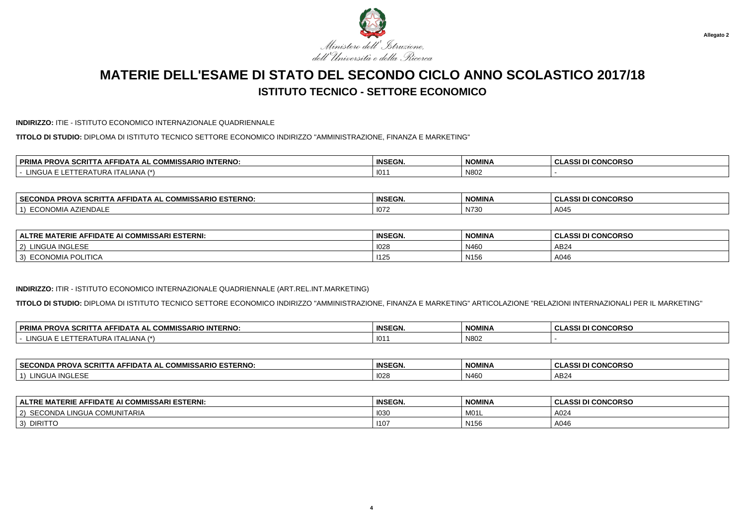

#### **INDIRIZZO:** ITIE - ISTITUTO ECONOMICO INTERNAZIONALE QUADRIENNALE

**TITOLO DI STUDIO:** DIPLOMA DI ISTITUTO TECNICO SETTORE ECONOMICO INDIRIZZO "AMMINISTRAZIONE, FINANZA E MARKETING"

| $\cdots$<br>PRIMA<br>$\cdot$ in Ferm<br><b>INTERNO</b><br><b>IA PROVA</b><br>. .<br>∴∆RIC.<br>SCRIT<br>▵⊢<br>- 11 D.A. '<br>. .<br>w<br>טור | <b>INSEGN.</b> | <b>NOMINA</b> | <b>CONCORSO</b><br>$\sim$<br>uladai |
|---------------------------------------------------------------------------------------------------------------------------------------------|----------------|---------------|-------------------------------------|
| <b>NGLIA</b><br>√∟IANA ∴<br>JRA.<br>.cr<br>.                                                                                                | 101            | N802          |                                     |

| ⊣ SECC<br>` PROVA SCRI.<br><b>COMMISSARIO ESTERNO:</b><br>_CONDA "<br>IDA I A AL<br>IA AI | <b>INSEGN.</b> | <b>NOMINA</b>            | I DI CONCORSO<br><b>ULA</b> |
|-------------------------------------------------------------------------------------------|----------------|--------------------------|-----------------------------|
| <br>NUMIA<br>.JUNI "<br>ישוי -<br>.                                                       | 1072           | <b>N736</b><br>ا ک الا ا | A045                        |

| : MATERIE AFFIDATE AI COMMISSARI ESTERNI:<br><b>ALTRE</b> | <b>INSEGN.</b> | <b>NOMINA</b>    | <b>I CONCORSO</b><br>, ULASSI P' |
|-----------------------------------------------------------|----------------|------------------|----------------------------------|
| <b>INGLESE</b><br>LINGUA '<br>(2)                         | 1028           | N460             | AB <sub>24</sub>                 |
| <b>ECONOMIA POLITICA</b><br>3)                            | 1125           | N <sub>156</sub> | A046                             |

### **INDIRIZZO:** ITIR - ISTITUTO ECONOMICO INTERNAZIONALE QUADRIENNALE (ART.REL.INT.MARKETING)

**TITOLO DI STUDIO:** DIPLOMA DI ISTITUTO TECNICO SETTORE ECONOMICO INDIRIZZO "AMMINISTRAZIONE, FINANZA E MARKETING" ARTICOLAZIONE "RELAZIONI INTERNAZIONALI PER IL MARKETING"

| <b>PRIM/</b><br>⊿ PROVA SCRIT <sup>∽</sup><br>. COMMISSARIO INTERNO:<br>™HDA I.<br>A AL<br>. IA AF | <b>INSEGN.</b> | <b>NOMINA</b> | <b>CONCORSO</b><br>.<br>. .<br>$\sim$<br>w<br>133 U<br>u |
|----------------------------------------------------------------------------------------------------|----------------|---------------|----------------------------------------------------------|
| . INIC<br>$\Lambda$ LIANA $^{\prime}$<br>ᄓᄳ                                                        | 101            | N802          |                                                          |

| <b>SECONDA</b><br>COMMISSARIO ESTERNO: ــ.<br><br>.<br>→ AFFIDATA AL 1<br>CRIT<br>-ru | <b>INSEGN.</b> | <b>NOMINA</b> | <b>CONCORSO</b><br>$\cdots$<br>w<br>133 U<br>u |
|---------------------------------------------------------------------------------------|----------------|---------------|------------------------------------------------|
| INGU,<br>$\mathbf{a}$<br>™GLES∟                                                       | 1028           | N460          | AB24                                           |

| E AFFIDATE AI COMMISSARI ESTERNI.<br><b>LALTRE MATERIE,</b> | <b>INSEGN.</b> | <b>NOMINA</b>    | <b>CONCORSO</b><br><b>DI</b><br>ulai |
|-------------------------------------------------------------|----------------|------------------|--------------------------------------|
| <b>COMUNITARIA</b><br>LINGUA<br>$\sim$<br><b>JUNDA</b><br>∼ | 1030           | M01L             | A024                                 |
| <b>DIRITTC</b><br>$\sim$<br>$\cdot$                         | 110            | N <sub>156</sub> | A046                                 |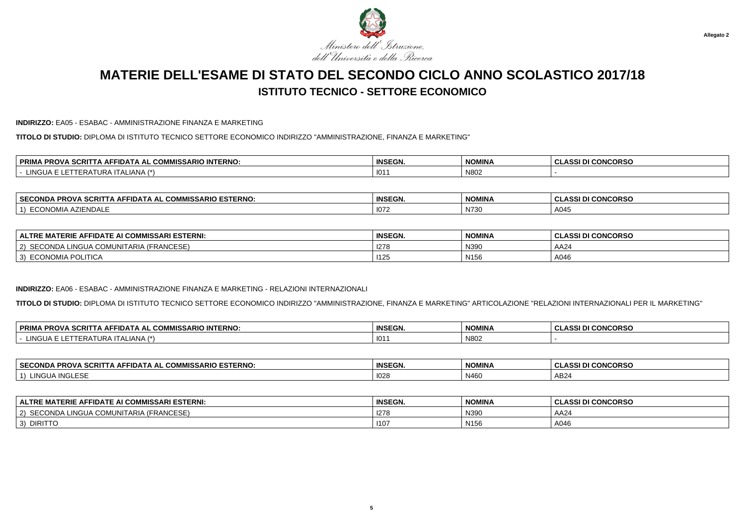

#### **INDIRIZZO:** EA05 - ESABAC - AMMINISTRAZIONE FINANZA E MARKETING

**TITOLO DI STUDIO:** DIPLOMA DI ISTITUTO TECNICO SETTORE ECONOMICO INDIRIZZO "AMMINISTRAZIONE, FINANZA E MARKETING"

| -----<br>COMMICS<br><b>IMISSARIO INTERNO:</b><br>סם<br>. SCRF<br>. AFFIDA I<br>AL<br>ww<br>-RUV<br>. . | <b>INSEGN.</b> | <b>NOMINA</b> | <b>CONCORSO</b><br>$\mathbf{A}$<br>ULAJJI DI |
|--------------------------------------------------------------------------------------------------------|----------------|---------------|----------------------------------------------|
| $\left( \frac{1}{2} \right)$<br>$. In \simI ALIANA᠃$                                                   | 101            | N802          |                                              |

| <b>SECONDA</b><br><b>ESTERNO.</b><br>$\sim$ 0.0 $\sim$<br>. COMMISSARIO<br>FIDATA AL<br>:RIT<br>AFI<br>эι<br>-ש<br>. . | <b>INSEGN.</b>                              | <b>NOMINA</b>                             | I CONCORSO<br>DI<br>.<br>$\sim$<br><b>ULA</b> |
|------------------------------------------------------------------------------------------------------------------------|---------------------------------------------|-------------------------------------------|-----------------------------------------------|
| $\sim$<br>_CONO"<br>୵୲∟<br>IENDALE<br>vIIA                                                                             | $\cdots$<br>- 10<br>$\overline{\mathsf{v}}$ | $\mathbf{N}$<br>$\mathbf{v}$<br>ا ک الا ا | A045                                          |

| : MATERIE AFFIDATE AI COMMISSARI ESTERNI:<br><b>ALTRE</b>                                   | <b>INSEGN.</b> | <b>NOMINA</b>    | <b>I CONCORSO</b><br>0.001 <sub>D</sub><br>. ט וטטרוש |
|---------------------------------------------------------------------------------------------|----------------|------------------|-------------------------------------------------------|
| $\sim$<br>$\mathbf{1}$<br>, COMUNITARIA /<br>2)<br>INGUA.<br><b>IFRANCESE</b><br>– אשוו∪י י | 1278           | N390             | AA24                                                  |
| <b>ECONOMIA POLITICA</b><br>3)                                                              | 140<br>11ZC    | N <sub>156</sub> | A046                                                  |

#### **INDIRIZZO:** EA06 - ESABAC - AMMINISTRAZIONE FINANZA E MARKETING - RELAZIONI INTERNAZIONALI

**TITOLO DI STUDIO:** DIPLOMA DI ISTITUTO TECNICO SETTORE ECONOMICO INDIRIZZO "AMMINISTRAZIONE, FINANZA E MARKETING" ARTICOLAZIONE "RELAZIONI INTERNAZIONALI PER IL MARKETING"

| ) INTERNO:<br><b>PRIM</b><br>00017<br>$\sim$<br>.<br><b>PROVA</b><br><b>SEFIDA.</b><br>IISSARIO<br>┅<br><b>ΔΙ</b><br>SURII<br>www<br>. . | <b>INSEGN.</b>   | <b>NOMINA</b> | $\sim$<br>$\mathbf{u}$ CONCODET<br>$\Lambda$ CCI $\Gamma$<br>I GUNGURSU<br>- GLASSI D |
|------------------------------------------------------------------------------------------------------------------------------------------|------------------|---------------|---------------------------------------------------------------------------------------|
| - -<br>4 <sup>2</sup><br><b>TALIANA</b><br><b>INIZ</b><br>$\mathbf{A}$<br>1. JR 5                                                        | $\sqrt{2}$<br>10 | N802          |                                                                                       |

| <b>SECONDA</b><br>COMMISSARIO ESTERNO: ــ.<br><br>.<br>→ AFFIDATA AL 1<br>CRIT<br>-ru | <b>INSEGN.</b> | <b>NOMINA</b> | <b>CONCORSO</b><br>$\cdots$<br>w<br>133 U<br>u |
|---------------------------------------------------------------------------------------|----------------|---------------|------------------------------------------------|
| INGU,<br>$\mathbf{a}$<br>™GLES∟                                                       | 1028           | N460          | AB24                                           |

| E AFFIDATE AI COMMISSARI ESTERNI.<br><b>LALTRE MATERIE,</b>  | <b>INSEGN.</b> | <b>NOMINA</b>    | <b>CONCORSO</b><br><b>DI</b><br>ulai |
|--------------------------------------------------------------|----------------|------------------|--------------------------------------|
| $\lambda$<br>INGUA<br>COMUNITARIA /<br>$\sim$<br>. (FRANCESE | 1278           | N390             | AA24                                 |
| <b>DIRITTC</b><br>$\sim$<br>$\cdot$                          | 110            | N <sub>156</sub> | A046                                 |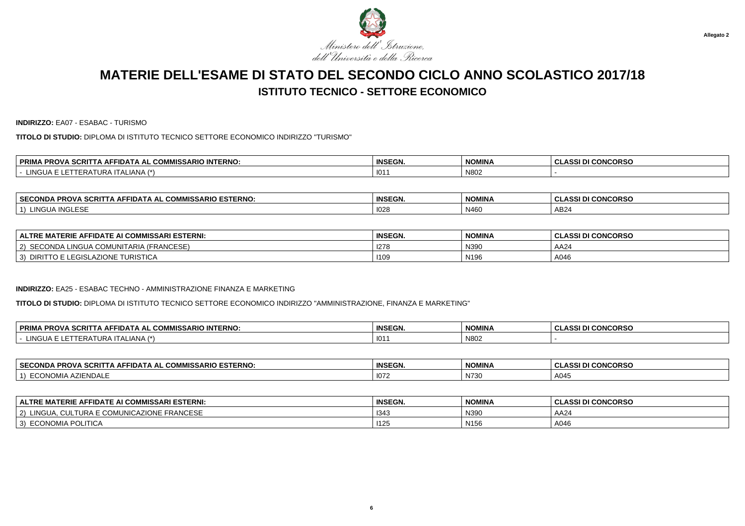

**INDIRIZZO:** EA07 - ESABAC - TURISMO

**TITOLO DI STUDIO:** DIPLOMA DI ISTITUTO TECNICO SETTORE ECONOMICO INDIRIZZO "TURISMO"

| <br><b>DDIM</b><br>---<br><b>INTERNO</b><br><b>PROVA</b><br>- הורו<br><b>SCRIL</b><br>. А.Н.<br>- 11 J.A.<br>IA AL<br>. .<br>. uu<br>יטור<br> | <b>INSEGN.</b> | <b>NOMINA</b> | <b>CONCORSO</b><br>$\mathbf{A}$<br>uladai |
|-----------------------------------------------------------------------------------------------------------------------------------------------|----------------|---------------|-------------------------------------------|
| <b>INGLIA</b><br>ALIANA<br>JRA'<br>FRA<br>---                                                                                                 | 101            | N802          |                                           |

| ⊪ SECONF<br><b>ESTERNO</b><br>$-2$<br><b>MISSARIO</b><br><b>PPOV</b><br>חותר<br>ים בו בנו.<br>. SURIL<br>FRU<br>=www<br>$\sim$ | <b>INSEGN.</b> | <b>NOMINA</b> | <b>I CONCORSO</b><br><b>DI</b><br>ula. |
|--------------------------------------------------------------------------------------------------------------------------------|----------------|---------------|----------------------------------------|
| $\cdots$<br>111C1<br>…uvGLESE<br>JING L                                                                                        | 1028           | N460          | AB <sub>24</sub>                       |

| E MATERIE AFFIDATE AI COMMISSARI ESTERNI:<br><b>ALTRE</b>      | <b>INSEGN.</b> | <b>NOMINA</b>    | <b>I CONCORSO</b><br><b>CLASSI DI</b> |
|----------------------------------------------------------------|----------------|------------------|---------------------------------------|
| <b>A COMUNITARIA (FRANCESE)</b><br>\ SECONDA L<br>_INGUA<br>2) | $-1$<br>1278   | N390             | AA2                                   |
| <b><i>FURISTICA</i></b><br>LEGISLAZIONE<br>3)<br>DIRI          | 1109           | N <sub>196</sub> | A046                                  |

#### **INDIRIZZO:** EA25 - ESABAC TECHNO - AMMINISTRAZIONE FINANZA E MARKETING

**TITOLO DI STUDIO:** DIPLOMA DI ISTITUTO TECNICO SETTORE ECONOMICO INDIRIZZO "AMMINISTRAZIONE, FINANZA E MARKETING"

| <b>A PROVA SCRIT</b><br><b>PRIM</b><br>. COMMISSARIO INTERNO:<br>-IDATA<br>A AL<br>IA AF        | <b>INSEGN.</b> | <b>NOMINA</b> | <b>DI CONCORSO</b><br>ACCI <sup>.</sup> |
|-------------------------------------------------------------------------------------------------|----------------|---------------|-----------------------------------------|
| . . -<br>ALIANA<br>$\lambda + \lambda$<br><b>INGUA E</b><br><b>AIIK</b><br>.<br>. <i>.</i><br>. | $101^\circ$    | N802          |                                         |

| <b>SECC</b><br>'DNG<br><b>110</b> -<br><b>DIC</b><br>.<br>opov<br>ום בו בנו.<br>"WISSARIU"<br>- SURI -<br>ERNU.<br>$\blacksquare$<br>FRU<br>.w.<br>- 55<br>∼∪™ | <b>INSEGN.</b>            | <b>NOMINA</b>                       | <b>SDCC</b><br>$\sim$<br>-<br>$\cdots$<br>טראשנ<br>.<br>u<br>. |
|----------------------------------------------------------------------------------------------------------------------------------------------------------------|---------------------------|-------------------------------------|----------------------------------------------------------------|
| ∴ ™ Alivi<br>עוי.<br>∼                                                                                                                                         | $\cdots$<br>-111<br>1 U L | $\lambda$ $\rightarrow$<br>∵ ιν7ο σ | A045                                                           |

| <b>ALTRE MATERIE AFFIDATE AI COMMISSARI ESTERNI:</b>           | <b>INSEGN.</b>   | <b>NOMINA</b>    | ASSI DI CONCORSO |
|----------------------------------------------------------------|------------------|------------------|------------------|
| . CULTURA E COMUNICAZIONE FRANCESE<br>LINGUA<br>$^{\prime}$ 2) | 134 <sup>2</sup> | N390             | AA24             |
| 3) ECONOMIA POLITICA                                           | 1125             | N <sub>156</sub> | A046             |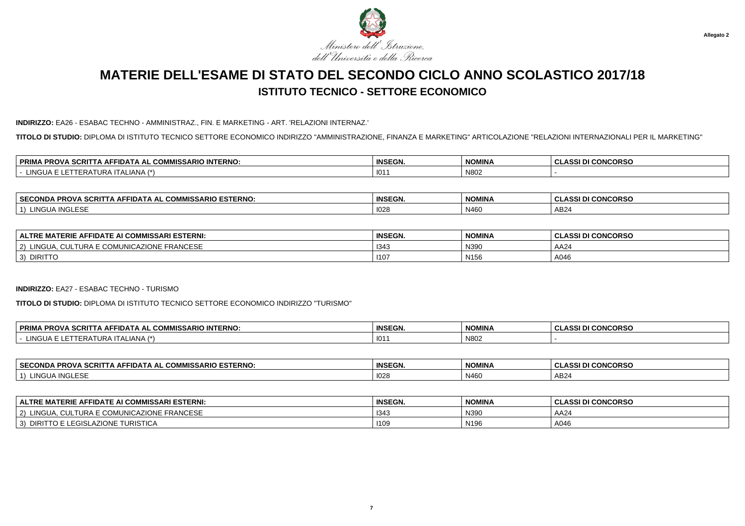

#### **INDIRIZZO:** EA26 - ESABAC TECHNO - AMMINISTRAZ., FIN. E MARKETING - ART. 'RELAZIONI INTERNAZ.'

**TITOLO DI STUDIO:** DIPLOMA DI ISTITUTO TECNICO SETTORE ECONOMICO INDIRIZZO "AMMINISTRAZIONE, FINANZA E MARKETING" ARTICOLAZIONE "RELAZIONI INTERNAZIONALI PER IL MARKETING"

| <b>SCRIT</b><br><b>DDIM</b><br><b>COMMISSARIO INTERNO:</b><br><b>DDAV</b><br>⊣A AF'<br>-IDA I.<br>\ AL<br>. UUNI<br>'NUV<br><b>KINA</b> | <b>INSEGN.</b> | <b>NOMINA</b> | I CONCORSO<br>. |
|-----------------------------------------------------------------------------------------------------------------------------------------|----------------|---------------|-----------------|
| <b>INGLIA</b><br>$\rightarrow$<br>ALIANA<br>____                                                                                        | 101            | N80           |                 |

| <b>SECON</b><br><b>ESTERNO</b><br>---<br><u>^^``</u><br>.<br>FIDATA AL<br>.JND/<br><u>дн</u><br>ISSARIL<br>75 U<br>$\cdots$ | <b>INSEGN.</b> | <b>NOMINA</b> | <b>CONCORSC</b><br>$\mathbf{A}$<br>---- |
|-----------------------------------------------------------------------------------------------------------------------------|----------------|---------------|-----------------------------------------|
| $\cdots$<br>101<br>$\mathbf{L}$<br>.<br>'NGt<br>,,,,,,,,                                                                    | 1028           | N460          | AB24                                    |

| <b>JI COMMISSARI ESTERNI:</b><br><b>ALTRE</b><br><b>AFFIDATL</b><br>∠RIE∶ | <b>INSEGN.</b> | <b>NOMINA</b>    | . CLASSI DI CONCORSO |
|---------------------------------------------------------------------------|----------------|------------------|----------------------|
| FRANCESE<br>_INGL<br>AZIONE<br>つい<br>$\sim$                               | 1343           | N390             | AA24                 |
| <b>DIRITTO</b><br>-3)                                                     | 1107           | N <sub>156</sub> | A046                 |

#### **INDIRIZZO:** EA27 - ESABAC TECHNO - TURISMO

**TITOLO DI STUDIO:** DIPLOMA DI ISTITUTO TECNICO SETTORE ECONOMICO INDIRIZZO "TURISMO"

| <b>PRIMA</b><br><b>A SCRIT</b><br>. COMMISSARIO INTERNO:<br><b>PROVA</b><br>FIDA I A<br>A AL<br>∴IA AF | <b>INSEGN.</b> | <b>NOMINA</b> | <b>I CONCORSO</b><br>0.001 <sub>D</sub><br>$\sim$<br>3331 L/I<br>u |
|--------------------------------------------------------------------------------------------------------|----------------|---------------|--------------------------------------------------------------------|
| INQ'<br>∴LIANA ′<br>$-111$<br>∟וושט                                                                    | 101            | N802          |                                                                    |

| <b>SECONDA</b><br>. . AL COMMISSARIO ESTERNO:<br><b>SCRITTA AFFIDATA AL UL</b><br>-RUVA SL | <b>INSEGN.</b> | <b>NOMINA</b> | <b>CONCORSO</b><br>$\cdots$<br>133 L<br>ື |
|--------------------------------------------------------------------------------------------|----------------|---------------|-------------------------------------------|
| <b>INGLESE</b><br><b>INGU</b><br>$\mathbf{L}$                                              | 1028           | N460          | AB24                                      |

| ∣ ALTRE MATERIE AFFIDATE AI COMMISSARI ESTERNI:                | <b>INSEGN.</b> | <b>NOMINA</b>    | <b>.ASSI DI CONCORSO</b> |
|----------------------------------------------------------------|----------------|------------------|--------------------------|
| . CULTURA E COMUNICAZIONE FRANCESE<br>LINGUA<br>$^{\prime}$ 2) | 1343           | N390             | AA24                     |
| LEGISLAZIONE TURISTICA<br>  3) DIRITTO                         | 1109           | N <sub>196</sub> | A046                     |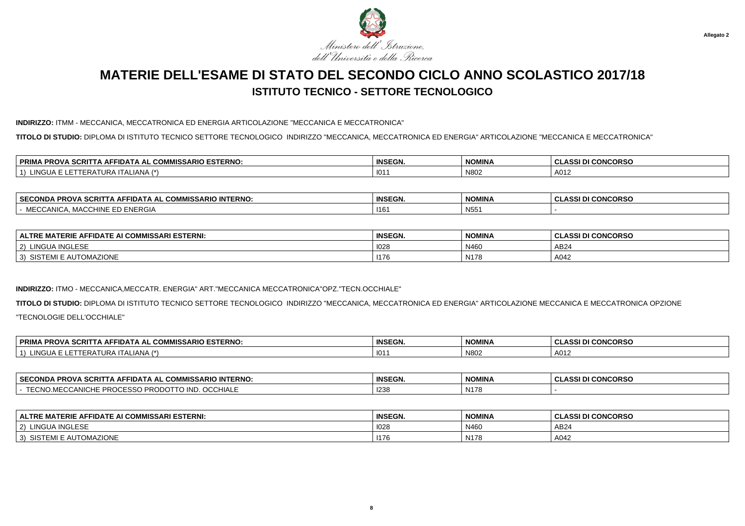

#### **INDIRIZZO:** ITMM - MECCANICA, MECCATRONICA ED ENERGIA ARTICOLAZIONE "MECCANICA E MECCATRONICA"

**TITOLO DI STUDIO:** DIPLOMA DI ISTITUTO TECNICO SETTORE TECNOLOGICO INDIRIZZO "MECCANICA, MECCATRONICA ED ENERGIA" ARTICOLAZIONE "MECCANICA E MECCATRONICA"

| <b>PRIM</b><br>L COMMISSARIO ESTERNO:<br>\ SCRIT<br>סם<br>'TA AFFIDATA<br>. AL<br>7 N U V<br>wa | <b>INSEGN.</b> | <b>NOMINA</b> | <b>I CONCORSO</b><br><b>CLASSI</b> |
|-------------------------------------------------------------------------------------------------|----------------|---------------|------------------------------------|
| 1 A /*<br><br>$\mathbf{H}$<br><b>ALIANA</b><br>'RAI<br>JRA                                      | 101            | N80           | A012                               |

| <b>SECONDA!</b><br>. SCRIT'<br><b>INTERNO:</b><br>IMISSARIO<br><b>PROVA</b><br>JDA IA AL<br>.<br>Nija<br>uum | <b>INSEGN.</b> | <b>NOMINA</b>   | I DI CONCORSO<br><b>ULAJJI</b> |
|--------------------------------------------------------------------------------------------------------------|----------------|-----------------|--------------------------------|
| <b>CULDO</b><br><sup>24</sup> MACCHINE EL<br>`ANIC.<br><b>HNERGI</b><br>$\sim$                               | 116'           | N <sub>55</sub> |                                |

| : AFFIDATE AI COMMISSARI ESTERNI:<br><b>IATERIE</b><br><b>ALTRE</b> | <b>INSEGN.</b> | <b>NOMINA</b> | <b>I CONCORSO</b><br>10011<br>-GLASSI DI |
|---------------------------------------------------------------------|----------------|---------------|------------------------------------------|
| A INGLESE.<br>lingu<br>2)<br><b>INGLESE</b>                         | 1028           | N460          | AB24                                     |
| <b>TOMAZIONE</b><br>$\gamma$ SISTEMI E AU<br>3)                     | 1176           | N178          | A042                                     |

### **INDIRIZZO:** ITMO - MECCANICA,MECCATR. ENERGIA" ART."MECCANICA MECCATRONICA"OPZ."TECN.OCCHIALE"

**TITOLO DI STUDIO:** DIPLOMA DI ISTITUTO TECNICO SETTORE TECNOLOGICO INDIRIZZO "MECCANICA, MECCATRONICA ED ENERGIA" ARTICOLAZIONE MECCANICA E MECCATRONICA OPZIONE"TECNOLOGIE DELL'OCCHIALE"

| <b>A SCRIT</b><br><b>`ARIO ESTERNO.</b><br><b>PRIM</b><br><b>PROV</b><br>I I A AFFIDA I.<br>ுயில்.<br>A | <b>INSEGN.</b> | <b>NOMINA</b> | <b>I CONCORSC</b><br>^cc,<br>$\overline{\phantom{a}}$<br>ULAJJ.<br>. . |
|---------------------------------------------------------------------------------------------------------|----------------|---------------|------------------------------------------------------------------------|
| (4)<br>-IANA<br>URA<br>LERAIL'<br>INGUA.                                                                | 101            | N802          | A012                                                                   |

| <b>SECOND</b><br><i>I</i> IMISSARIO INTERNO:<br>JA PROVA<br>---<br>.<br><b>SCRIT</b><br>. IDA IA AL<br>. . | <b>INSEGN.</b> | NOMINI/<br>NUMINA | <b>CONCORSC</b><br>0.00 |
|------------------------------------------------------------------------------------------------------------|----------------|-------------------|-------------------------|
| OCCHIALL<br>$\cdots$<br>opc<br><b>IIV</b><br>.<br>ושוניה<br>.                                              | 123            | N <sub>178</sub>  |                         |

| ALTRE MATERIE AFFIDATE AI COMMISSARI ESTERNI:               | <b>INSEGN.</b> | <b>NOMINA</b>      | <b>I CONCORSO</b><br>0.0015<br>833 L/I<br>◡└ |
|-------------------------------------------------------------|----------------|--------------------|----------------------------------------------|
| <b>INGLESE</b><br>LINGUA<br>$\sim$<br>$\mathbf{z}$          | 1028           | N460               | AB24                                         |
| <b>JTOMAZIONE</b><br>$\sim$<br><b>AII</b><br>¬∪<br>- IVII L | 1176           | N147<br><b>N17</b> | A042                                         |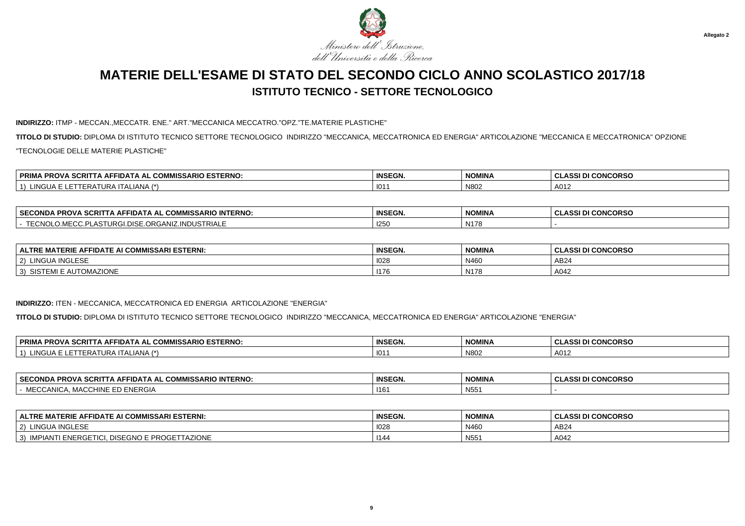

#### **INDIRIZZO:** ITMP - MECCAN.,MECCATR. ENE." ART."MECCANICA MECCATRO."OPZ."TE.MATERIE PLASTICHE"

**TITOLO DI STUDIO:** DIPLOMA DI ISTITUTO TECNICO SETTORE TECNOLOGICO INDIRIZZO "MECCANICA, MECCATRONICA ED ENERGIA" ARTICOLAZIONE "MECCANICA E MECCATRONICA" OPZIONE"TECNOLOGIE DELLE MATERIE PLASTICHE"

| <b>ESTERNO</b><br><b>PRIM</b><br>$\sim$<br>1.510 F27<br>$\sim$<br>וסי<br>ISSARIO<br>≅•iD⊾<br>. wur<br>A<br>ouru<br>ישמ | <b>INSEGN.</b> | <b>NOMINA</b> | I CONCORSO<br><b>CLASSI</b> |
|------------------------------------------------------------------------------------------------------------------------|----------------|---------------|-----------------------------|
| 11121<br>. ALIANA :<br>NGUA<br>$\mathbf{A}$<br>ENA<br>IJKP                                                             | 101            | N802          | A012                        |

| <b>ERNO</b><br><b>SECC</b><br>$ -$<br>~~<br>---- - -<br>$\cdots$<br>ECONDA<br>FIDATA AL<br>:RIT<br>. AF<br>JMIN<br>־מט<br>ו צווי<br>וכפו<br>u | <b>INSEGN.</b> | <b>NOMINA</b>         | <b>CONCORSO</b><br>$\ddot{\phantom{0}}$ |
|-----------------------------------------------------------------------------------------------------------------------------------------------|----------------|-----------------------|-----------------------------------------|
| $T T \cap \mathbb{R}$<br><b>DUSTRIALF</b><br>URGANIZ ‴<br>$-1$<br>ww.                                                                         | החיי<br>تكا    | N1470<br>$\mathbf{N}$ |                                         |

| <b>ALTRE MATERIE AFFIDATE AI COMMISSARI ESTERNI:</b> | <b>INSEGN.</b> | <b>NOMINA</b> | <b>CLASSI DI CONCORSO</b> |
|------------------------------------------------------|----------------|---------------|---------------------------|
| 2) LINGUA INGLESE                                    | 1028           | N460          | AB24                      |
| SISTEMI E AUTOMAZIONE<br>3)                          | 1176           | N178          | A042                      |

#### **INDIRIZZO:** ITEN - MECCANICA, MECCATRONICA ED ENERGIA ARTICOLAZIONE "ENERGIA"

**TITOLO DI STUDIO:** DIPLOMA DI ISTITUTO TECNICO SETTORE TECNOLOGICO INDIRIZZO "MECCANICA, MECCATRONICA ED ENERGIA" ARTICOLAZIONE "ENERGIA"

| <b>ESTERNO</b><br>$\sim$ $\sim$ $\sim$ $\sim$<br>. PRIM<br>יאו מח<br><b>MISSARIO</b><br>AFFIDAT<br>AL<br>-31<br>uum<br>-מע | <b>INSEGN.</b> | <b>NOMINA</b><br>. 1101 | <b>CAICODEO</b><br>$\sim$<br>.<br><b>INCURSU</b><br>u |
|----------------------------------------------------------------------------------------------------------------------------|----------------|-------------------------|-------------------------------------------------------|
| $\rightarrow$<br>.NUUA.<br>URA<br>ฯ∟เAIง≁<br><b>LNAI</b>                                                                   | 101            | N802                    | A012                                                  |

| <b>SECONDA!</b><br><b>INTERNO</b><br>– JUMMISSARIO INTT∵<br><b>PROVA</b><br>·IDA I A AL<br>. GCRIL.<br>Nija                 | <b>INSEGN.</b> | <b>NOMINA</b><br><b>IVUIIIIV</b> | <b>CONCORSC</b><br>1221<br>וככת. |
|-----------------------------------------------------------------------------------------------------------------------------|----------------|----------------------------------|----------------------------------|
| <b>ENERAL</b><br>$A$ $A$ $\Gamma$<br>`^HINE EL<br>$\sim$<br>`ANIC.<br>ີ໊ MAUU.<br><b>ENERGI</b><br>$\overline{\phantom{a}}$ | 116            | <b>NIEI</b><br>טוי               |                                  |

| <b>MATERIE AFFIDATE AI COMMISSARI ESTERNI:</b><br><b>ALTRE</b>                       | <b>INSEGN.</b> | <b>NOMINA</b>   | I CONCORSO<br>GLASSI DI |
|--------------------------------------------------------------------------------------|----------------|-----------------|-------------------------|
| JA INGLESE<br>⊔ngl<br>2)                                                             | 1028           | N460            | AB24                    |
| <b><i><u>TAZIONE</u></i></b><br>" FNERGETIC.<br>IMPIANT.<br>. DISEGNO E PROGET<br>3) | 1144           | $F = F$<br>N551 | A042                    |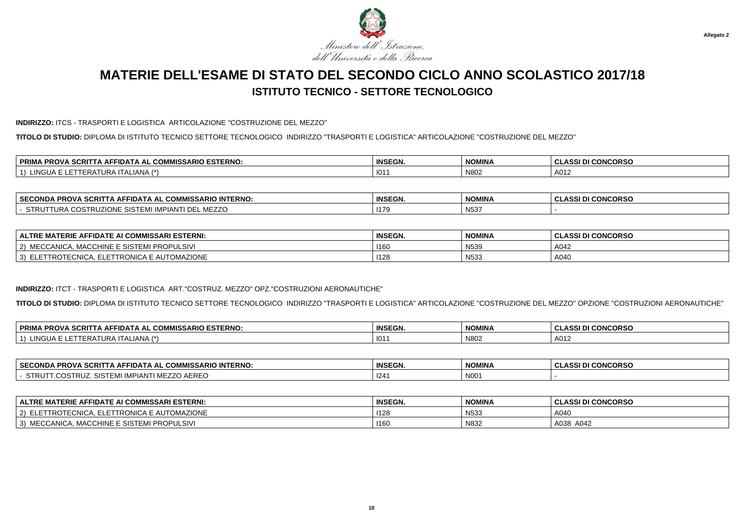

#### **INDIRIZZO:** ITCS - TRASPORTI E LOGISTICA ARTICOLAZIONE "COSTRUZIONE DEL MEZZO"

**TITOLO DI STUDIO:** DIPLOMA DI ISTITUTO TECNICO SETTORE TECNOLOGICO INDIRIZZO "TRASPORTI E LOGISTICA" ARTICOLAZIONE "COSTRUZIONE DEL MEZZO"

| <i>I</i> IISSARIO ESTERNO:<br>∣ PRIMA<br>$\sim$<br>. SCRIT<br>IA AL COM<br><b>AFFIDA</b><br>-RUV. | <b>INSEGN.</b> | <b>NOMINA</b> | I CONCORSO<br><b>CLASSI</b> |
|---------------------------------------------------------------------------------------------------|----------------|---------------|-----------------------------|
| $\sim$<br>. ALIANA (*`<br>.NGUA<br>$\mathbf{A}$<br>ERA<br>URA                                     | 101            | N80           | A012                        |

| <b>SECC</b><br><b>INTERNO:</b><br>^^<br>. COMMISSARIO<br><b>PROVA</b><br>=CONDA<br>-IDA I A AL<br>-SURI 1 | <b>INSEGN.</b> | <b>NOMINA</b>         | <b>CONCORSO</b><br>.<br>--- |
|-----------------------------------------------------------------------------------------------------------|----------------|-----------------------|-----------------------------|
| $\sim$<br>.<br><b>IMPIAN I</b><br>UR/<br><b>909L</b><br>.<br>.<br>ノレレ ハルレムムマ                              | 1470<br>.      | <b>NI53</b><br>1955 - |                             |

| ∣ ALTRE MATERIE AFFIDATE AI COMMISSARI ESTERNI:                                 | <b>INSEGN.</b> | <b>NOMINA</b>   | <b>CLASSI DI CONCORSO</b> |
|---------------------------------------------------------------------------------|----------------|-----------------|---------------------------|
| <b>TINE E SISTEMI</b><br>I PROPULSIVI<br><b>MECCANICA</b><br>MACCH<br>つい<br>ᇺᇅᇅ | 1160           | <b>N539</b>     | A042                      |
| ELETTRONICA E AUTOMAZIONE<br>ECNICA.<br>ີ FTTRO⊺⊨ບ…<br>3)                       | 1128           | N <sub>53</sub> | A040                      |

### **INDIRIZZO:** ITCT - TRASPORTI E LOGISTICA ART."COSTRUZ. MEZZO" OPZ."COSTRUZIONI AERONAUTICHE"

**TITOLO DI STUDIO:** DIPLOMA DI ISTITUTO TECNICO SETTORE TECNOLOGICO INDIRIZZO "TRASPORTI E LOGISTICA" ARTICOLAZIONE "COSTRUZIONE DEL MEZZO" OPZIONE "COSTRUZIONI AERONAUTICHE"

| <b>PRIMA</b><br>ISSARIO ESTERNO:<br><b>CODIT</b><br><b>PROVA</b><br>-IDA I /<br>.COMP<br>A AL<br>. ан<br>A JURII<br>$\overline{\phantom{a}}$ | <b>INSEGN.</b> | <b>NOMINA</b> | I CONCORSO<br>0.001 <sub>0</sub><br>$\sim$<br>9331 D.<br>u |
|----------------------------------------------------------------------------------------------------------------------------------------------|----------------|---------------|------------------------------------------------------------|
| IANDA<br>ING<br>. II ALIANA<br>URA<br>4 ו<br>⊢₩∆                                                                                             | 101            | N802          | A012                                                       |

| <b>SECO</b><br>.<br>.<br>יים<br>$\cdot$<br>ום בו בוו.<br>auru<br>. שואמכטוויי<br>' IN LERINU<br>7 N U<br>- - - | <b>INSEGN.</b> | <b>NOMINA</b> | .<br>טרחשעו<br>u<br>w<br>. |
|----------------------------------------------------------------------------------------------------------------|----------------|---------------|----------------------------|
| D.<br>INCU<br>י הג<br><b>ALIA</b><br>ירש<br>``<br>.                                                            | -124           | N001          |                            |

| <b>ALTRE MATERIE AFFIDATE AI COMMISSARI ESTERNI:</b> | <b>INSEGN.</b> | <b>NOMINA</b>    | <b>I CONCORSO</b><br>A COI<br>ULASSI DI |
|------------------------------------------------------|----------------|------------------|-----------------------------------------|
| 2) ELETTROTECNICA, ELETTRONICA E AUTOMAZIONE         | 1128           | N <sub>533</sub> | A040                                    |
| MACCHINE E SISTEMI PROPULSIVI<br>3) MECCANICA,       | <b>1160</b>    | N832             | A038 A042                               |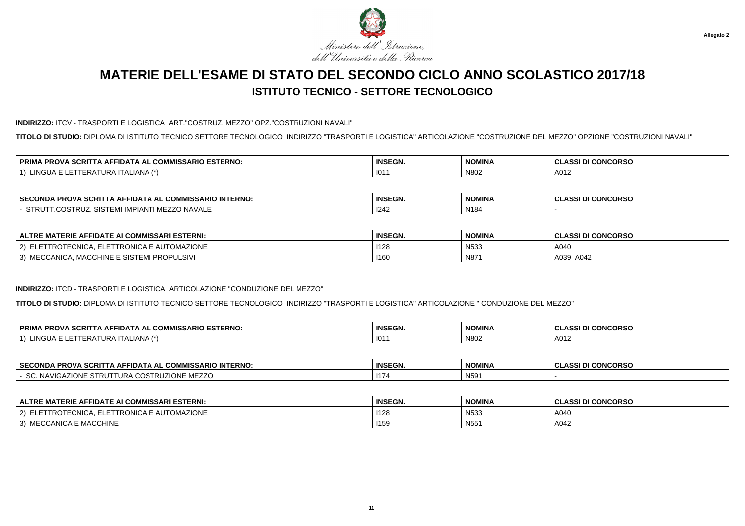

**INDIRIZZO:** ITCV - TRASPORTI E LOGISTICA ART."COSTRUZ. MEZZO" OPZ."COSTRUZIONI NAVALI"

**TITOLO DI STUDIO:** DIPLOMA DI ISTITUTO TECNICO SETTORE TECNOLOGICO INDIRIZZO "TRASPORTI E LOGISTICA" ARTICOLAZIONE "COSTRUZIONE DEL MEZZO" OPZIONE "COSTRUZIONI NAVALI"

| . COMMISSARIO ESTERNO:<br><b>DDIM</b><br><b>SCRI</b><br><b>AFFIDAT</b><br>PRO.<br>AL. | <b>INSEGN.</b> | <b>NOMINA</b> | <b>CONCORSO</b><br><b>CLASSI</b> |
|---------------------------------------------------------------------------------------|----------------|---------------|----------------------------------|
| . I A /*`<br>101<br>·RAI<br><b>ALIANA</b><br>IIRH                                     | 101            | N80           | A012                             |

| <b>SECONDA</b><br>IISSARIO INTERNO:<br><b>CON</b><br>`FFIDATA AL J<br><b>VA SCRIT</b><br>∴iA AF'<br>י מט<br>ושט א | <b>INSEGN.</b> | <b>NOMINA</b>    | <b>CONCORSO</b><br>$\sim$ $\sim$ $\sim$<br>. JLAJJ. |
|-------------------------------------------------------------------------------------------------------------------|----------------|------------------|-----------------------------------------------------|
| <b>NAVAL</b><br>STRL<br>.COSTRUZ<br><b>IVIL</b><br><b>E</b> IVII<br>- - - - - - - - -<br>.                        | 1242           | N <sub>184</sub> |                                                     |

| ALTRE MATERIE AFFIDATE AI COMMISSARI ESTERNI:           | <b>INSEGN.</b> | <b>NOMINA</b> | <b>CLASSI DI CONCORSO</b> |
|---------------------------------------------------------|----------------|---------------|---------------------------|
| 2) ELETTROTECNICA.<br><b> ELETTRONICA E AUTOMAZIONE</b> | 1128           | N533          | A040                      |
| ، MACCHINE E SISTEMI PROPULSIVI<br>3) MECCANICA,        | 1160           | N871          | A039 A042                 |

### **INDIRIZZO:** ITCD - TRASPORTI E LOGISTICA ARTICOLAZIONE "CONDUZIONE DEL MEZZO"

**TITOLO DI STUDIO:** DIPLOMA DI ISTITUTO TECNICO SETTORE TECNOLOGICO INDIRIZZO "TRASPORTI E LOGISTICA" ARTICOLAZIONE " CONDUZIONE DEL MEZZO"

| <b>VA SCRIT</b><br><b>PRIM</b><br><b>IISSARIO ESTERNO.</b><br>. PROV<br>_ COMM<br>$\mathsf{A}$ AFFIDAT $\mathsf{A}$<br>· AI · | <b>INSEGN.</b> | <b>NOMINA</b> | <b>II CONCORSO</b><br>$\ddot{\phantom{1}}$ |
|-------------------------------------------------------------------------------------------------------------------------------|----------------|---------------|--------------------------------------------|
| $\sim$<br>IANA (*<br>JR /<br>INGUA<br>1 E R A<br><b>IIA</b>                                                                   | 101            | N802          | A012                                       |

| <b>SECONDA</b><br><b>. PROVA SCRIT</b><br><b>MMISSARIO INTERNO.</b><br>·IDATA AL<br>. IA AF'<br>. ייט          | <b>INSEGN.</b> | <b>NOMINA</b>    | I DI CONCORSO<br>ula. |
|----------------------------------------------------------------------------------------------------------------|----------------|------------------|-----------------------|
| c<br>$\sim$<br>$\overline{\phantom{a}}$<br><b>NAV</b><br>I UR.<br>LIUNE MEZZU<br>IUNE SIRU<br>'NU.<br>ov.<br>. | 117            | N <sub>591</sub> |                       |

| ∣ ALTRE MATERIE AFFIDATE AI COMMISSARI ESTERNI:                                                                  | <b>INSEGN.</b> | <b>NOMINA</b>    | <b>II DI CONCORSO</b><br>והה ג |
|------------------------------------------------------------------------------------------------------------------|----------------|------------------|--------------------------------|
| $T$ $\sim$ $\sim$ $\sim$ $\sim$ $\sim$<br>ELETTRONICA E AUTOMAZIONE<br>$\sim$<br><b>IROTECNICA</b><br>$\epsilon$ | 1128           | N <sub>533</sub> | A040                           |
| \ E MACCHINE<br>`` MECCANICA .<br>$\sim$                                                                         | 1159           | N <sub>551</sub> | A042                           |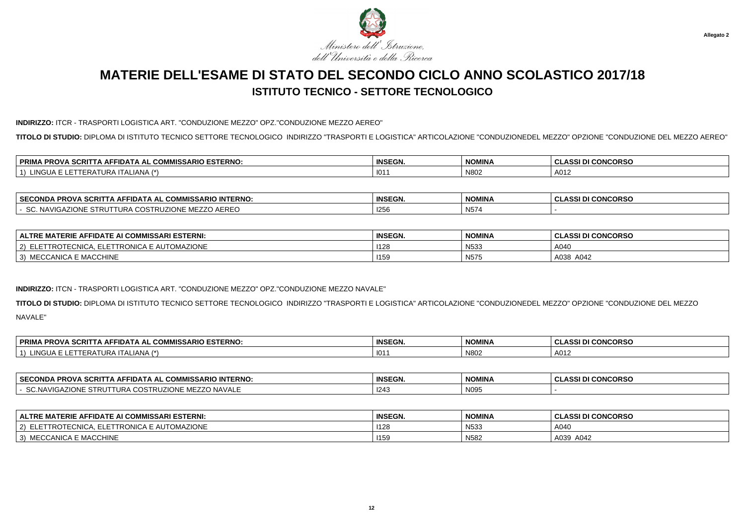

### **INDIRIZZO:** ITCR - TRASPORTI LOGISTICA ART. "CONDUZIONE MEZZO" OPZ."CONDUZIONE MEZZO AEREO"

**TITOLO DI STUDIO:** DIPLOMA DI ISTITUTO TECNICO SETTORE TECNOLOGICO INDIRIZZO "TRASPORTI E LOGISTICA" ARTICOLAZIONE "CONDUZIONEDEL MEZZO" OPZIONE "CONDUZIONE DEL MEZZO AEREO"

| <b>SCRIT</b><br><b>IMISSARIO ESTERNO:</b><br>. DDIM<br>י הוווווחי<br>.<br><b>PROVA</b><br>∴A A⊢'<br>·IDA L<br>. д.<br>ww<br>'NIMA<br>-- | <b>INSEGN</b><br>LVI. | <b>NOMINA</b> | <b>CONCORSC</b><br><b>CLASSI</b> |
|-----------------------------------------------------------------------------------------------------------------------------------------|-----------------------|---------------|----------------------------------|
| $\sim$<br><b>IN 17</b><br>ALIANA<br>ERA.<br>- 11 JA<br>כיצו<br>$U\Gamma$<br>. .                                                         | 10 <sup>1</sup>       | N80           | A012                             |

| <b>SECONDA</b><br>----<br><b>INTERNO:</b><br>\ AFFIDATA AL<br>. COMMISSARIO<br>`^RITT⊾.<br>VA อเ<br>rnu.                     | <b>INSEGN.</b> | NOMINA                      | <b>CONCORSO</b><br>$\cdots$<br>.<br>u<br>u |
|------------------------------------------------------------------------------------------------------------------------------|----------------|-----------------------------|--------------------------------------------|
| .coc<br>AZIONE STRUT<br>$\sim$ $\sim$<br>.<br><b>NAVIGAZIC</b><br>. URA<br>AEREC<br>. JUSI P<br>JNF<br>I RU4<br>IVIL<br>---- | <b>I256</b>    | $\sim$ 1.000 $\sim$<br>N574 |                                            |

| │ ALTRE MATERIE AFFIDATE AI COMMISSARI ESTERNI:                                   | <b>INSEGN.</b> | <b>NOMINA</b>    | <b>I CONCORSO</b><br><b>CLASSIDI</b> |
|-----------------------------------------------------------------------------------|----------------|------------------|--------------------------------------|
| E AUTOMAZIONE<br>-^* ''^<br>FTRONICA I<br>$\sim$<br><b>IRUTEUNIUA</b><br><u>_</u> | 1128           | N <sub>533</sub> | A040                                 |
| A E MACCHINE<br><b>ANICA</b><br>$\sim$<br>™ECCA ™                                 | 1159<br>.      | N575             | A038<br>A042                         |

### **INDIRIZZO:** ITCN - TRASPORTI LOGISTICA ART. "CONDUZIONE MEZZO" OPZ."CONDUZIONE MEZZO NAVALE"

**TITOLO DI STUDIO:** DIPLOMA DI ISTITUTO TECNICO SETTORE TECNOLOGICO INDIRIZZO "TRASPORTI E LOGISTICA" ARTICOLAZIONE "CONDUZIONEDEL MEZZO" OPZIONE "CONDUZIONE DEL MEZZONAVALE"

| <b>ESTERNO</b><br><b>SCRI</b><br><b>PRIM</b><br>. PROV<br>COMMICS<br>ADIO<br><b>AFFIDAT</b><br>\ AL<br>wuw<br><b>INIDJARIU</b> | <b>INSEGN.</b> | <b>NOMINA</b> | <b>I CONCORSO</b><br>DI<br>ula. |
|--------------------------------------------------------------------------------------------------------------------------------|----------------|---------------|---------------------------------|
| 11121<br>$\mathbf{A}$<br>∴⊾IANA<br>IURA II <i>I</i><br>ERAI<br>NGUA                                                            | 101            | N802          | A012                            |

| <b>SECOND</b><br><b>INTERNO</b><br><b>PROVA</b><br>. COMMISSARIO<br>IDA I A AL<br>- SCRIL.<br>IVIJA | <b>INSEGN</b> | <b>NOMINA</b> | I CONCORSO<br><b>CLASSI</b> |
|-----------------------------------------------------------------------------------------------------|---------------|---------------|-----------------------------|
| <b>NAVALE</b><br>ZIONE<br>.NAVIGA<br>ົ<br>URA<br><b>STRU</b><br>M<br>JU.<br>ט רו<br>,,,,,           | 1243          | N095          |                             |

| <b>ALTRE MATERIE AFFIDATE AI COMMISSARI ESTERNI:</b>    | <b>INSEGN.</b> | <b>NOMINA</b>    | <b>CLASSI DI CONCORSO</b> |
|---------------------------------------------------------|----------------|------------------|---------------------------|
| ) ELETTROTECNICA. ELETT<br>TTRONICA E AUTOMAZIONE<br>2) | 1128           | N <sub>53</sub>  | A040                      |
| MECCANICA<br>$\vert 3 \rangle$<br>\ E MACCHINE          | 1159           | N <sub>582</sub> | A039 A042                 |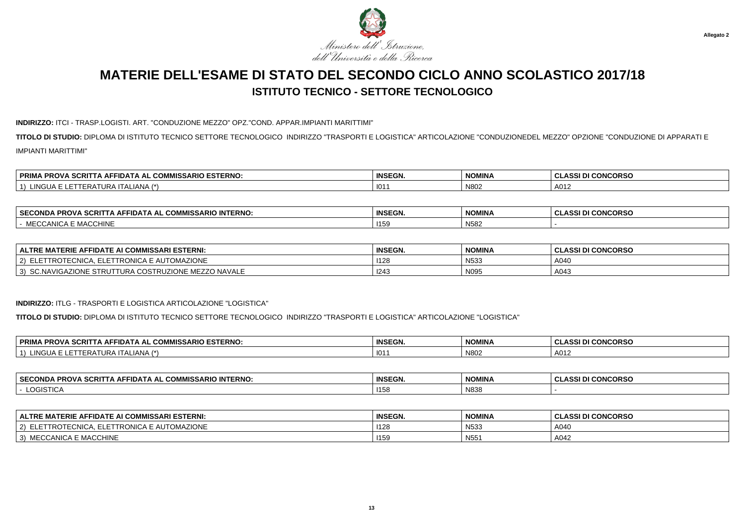

#### **INDIRIZZO:** ITCI - TRASP.LOGISTI. ART. "CONDUZIONE MEZZO" OPZ."COND. APPAR.IMPIANTI MARITTIMI"

**TITOLO DI STUDIO:** DIPLOMA DI ISTITUTO TECNICO SETTORE TECNOLOGICO INDIRIZZO "TRASPORTI E LOGISTICA" ARTICOLAZIONE "CONDUZIONEDEL MEZZO" OPZIONE "CONDUZIONE DI APPARATI EIMPIANTI MARITTIMI"

| L COMMISSARIO ESTERNO:<br>'A SCRI'<br><b>PRIM</b><br>ITA AFFIDATA<br>PROV.<br>IA AL.          | <b>INSEGN.</b> | <b>NOMINA</b> | <b>I CONCORSO</b><br><b>CLASSI</b> |
|-----------------------------------------------------------------------------------------------|----------------|---------------|------------------------------------|
| . INICIT<br>$\mathbf{1} \mathbf{A}$ $\mathbf{A}$<br>.<br>URA<br>IERAI<br>JUA<br>. II ALIANA 1 | 101            | N80           | A012                               |

| _ COMMISSARIO INTERNO:<br><b>A PROVA SCRITT</b><br><b>SECONDA</b><br>. ∧ AFFIDA™<br>- IA A' - | <b>INSEGN.</b> | <b>NOMINA</b>   | I CONCORSO<br><b>CLASSI</b> |
|-----------------------------------------------------------------------------------------------|----------------|-----------------|-----------------------------|
| : MACCHINE<br>$\sim$<br>CCANICA<br><b>11/11</b>                                               | 11F            | N <sub>58</sub> |                             |

| <b>ALTRE MATERIE AFFIDATE AI COMMISSARI ESTERNI:</b>                           | <b>INSEGN.</b> | <b>NOMINA</b>   | <b>I CONCORSO</b><br>וה והה<br>-4551 D. |
|--------------------------------------------------------------------------------|----------------|-----------------|-----------------------------------------|
| E AUTOMAZIONE<br>- -<br><b>ETTRONICA E</b><br>LI ROTECNICA.                    | 1126           | N <sub>53</sub> | A040                                    |
| COSTRUZIONE MEZZO NAVALE<br>ONE<br>$\sim$<br>, URA C<br>: STRU<br>SC.NAVIGAZIC | 1243           | N095            | A043                                    |

#### **INDIRIZZO:** ITLG - TRASPORTI E LOGISTICA ARTICOLAZIONE "LOGISTICA"

**TITOLO DI STUDIO:** DIPLOMA DI ISTITUTO TECNICO SETTORE TECNOLOGICO INDIRIZZO "TRASPORTI E LOGISTICA" ARTICOLAZIONE "LOGISTICA"

| . SCRI1<br>' PRIMA<br><b>RIO ESTERNO.</b><br>. PROV/<br>·IDA:<br>AF<br>. IM<br>ו בא<br>, , ,<br>. u<br>. . | <b>INSEGN.</b> | <b>NOMINA</b> | <b>I DI CONCORSO</b><br>. .<br>. GLA. |
|------------------------------------------------------------------------------------------------------------|----------------|---------------|---------------------------------------|
| $I$ ANIA $\left\{ \pm 1 \right\}$<br>. INIC<br>TI ALIANA<br>URA<br>FRA<br>1UA                              | $\sim$<br>10   | N802          | A012                                  |

| ⊥SECON"<br>.<br><b><i>IMISSARIO INTERNO:</i></b><br><b>PROVA</b><br>SCRIT<br>ו באנו<br>י בנ.<br>- Δ⊫'<br>IA AL | <b>INSEGN.</b> | <b>NIOMINIA</b><br>NUMINA | <b>CONCORSC</b><br>.<br>-8331 |
|----------------------------------------------------------------------------------------------------------------|----------------|---------------------------|-------------------------------|
| <b>LOGISTICA</b>                                                                                               | 1155           | N838                      |                               |

| <b>ALTRE MATERIE AFFIDATE AI COMMISSARI ESTERNI:</b> | <b>INSEGN.</b> | <b>NOMINA</b>    | <b>CLASSI DI CONCORSO</b> |
|------------------------------------------------------|----------------|------------------|---------------------------|
| . ELETTRONICA E AUTOMAZIONE<br>ELETTROTECNICA.<br>2) | 1128           | N <sub>533</sub> | A040                      |
| <b>MECCANICA E MACCHINE</b><br>3)                    | 1159           | N <sub>55</sub>  | A042                      |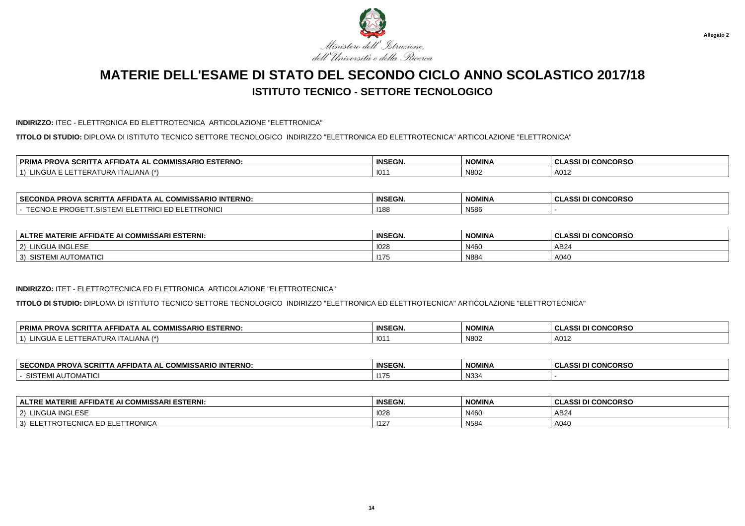

### **INDIRIZZO:** ITEC - ELETTRONICA ED ELETTROTECNICA ARTICOLAZIONE "ELETTRONICA"

**TITOLO DI STUDIO:** DIPLOMA DI ISTITUTO TECNICO SETTORE TECNOLOGICO INDIRIZZO "ELETTRONICA ED ELETTROTECNICA" ARTICOLAZIONE "ELETTRONICA"

| . COMMISSARIO ESTERNO:<br>$\sim$<br><b>PRIM</b><br>odo"<br><b>TFIDA</b><br>. .<br>AL<br>A.<br>эu<br>'NU | <b>INSEGN</b> | <b>NOMINA</b> | <b>I CONCORSO</b><br>. .<br>.<br>งมางง |
|---------------------------------------------------------------------------------------------------------|---------------|---------------|----------------------------------------|
| 11121<br>NGUA.<br><b>I ALIANA</b><br>URA<br>⊂n⊬                                                         | 101           | N802          | A012                                   |

| <b>SECONDA</b><br>$\mathsf{A}$ SCRITT<br><b>'IMISSARIO INTERNO:</b><br>opov<br>IDA I A AL<br>rru<br>. uuw | <b>INSEGN.</b> | <b>NOMINA</b> | <b>CONCORSO</b><br>. .<br>w<br>u<br>$-2-1$ |
|-----------------------------------------------------------------------------------------------------------|----------------|---------------|--------------------------------------------|
| $T T \cap Y$<br>™ PROJ<br>TRONIC<br>TRICI<br>- ⊢<br>.OIOTEMI LLET<br>.                                    | 1188           | N586          |                                            |

| <b>FIDATE AI COMMISSARI ESTERNI:</b><br><b>.TERIE AFF</b><br><b>ALTRE</b><br><b>ு MA</b> ட | <b>INSEGN.</b> | <b>NOMINA</b> | <b>I CONCORSO</b><br>.001 <sub>D</sub><br>$\sim$<br>833 U<br>◡ |
|--------------------------------------------------------------------------------------------|----------------|---------------|----------------------------------------------------------------|
| A INGLESF<br>LINGU/<br>2)                                                                  | 1028           | N460          | AB <sub>24</sub>                                               |
| II AUTOMATIC<br>$\sim$<br>3)<br>515 1                                                      | 1175           | N884          | A040                                                           |

### **INDIRIZZO:** ITET - ELETTROTECNICA ED ELETTRONICA ARTICOLAZIONE "ELETTROTECNICA"

**TITOLO DI STUDIO:** DIPLOMA DI ISTITUTO TECNICO SETTORE TECNOLOGICO INDIRIZZO "ELETTRONICA ED ELETTROTECNICA" ARTICOLAZIONE "ELETTROTECNICA"

| . PROVA SCRITT<br>. COMMISSARIO ESTERNO:<br><b>PRIM</b><br><b>A AFFIDAT</b><br>$\mathbf{A}$ | <b>INSEGN.</b> | <b>NOMINA</b> | I DI CONCORSO<br>יים ג<br>◡∟∼ |
|---------------------------------------------------------------------------------------------|----------------|---------------|-------------------------------|
| _IANA (*)<br>$\mathbf{1}$<br>$H$ ir $\Delta$<br>'NGUA<br>1 E R A                            | $101^\circ$    | N802          | A012                          |

| <b>SECONDA</b><br>A SCRITTA AFFIDATA AL COMMISSARIO INTERNO:<br>$\sim$ DDAU $\sim$<br>. PRUVA SU. | <b>INSEGN.</b> | <b>NOMINA</b> | <b>DI CONCORSO</b><br>. . |
|---------------------------------------------------------------------------------------------------|----------------|---------------|---------------------------|
| <b>UTOMATICI</b><br>SISTEN<br>שר                                                                  | 1175           | N334          |                           |

| <b>IMISSARI ESTERNI:</b><br><b>TERIE</b><br>: AFFIDATE AI COMMISS/<br><b>ALTRE</b> | INSEGN. | <b>NOMINA</b> | <b>I CONCORSO</b><br>0.00101<br>DI. |
|------------------------------------------------------------------------------------|---------|---------------|-------------------------------------|
| LINGUA INGLESE<br>$ 2\rangle$                                                      | 1028    | N46           | AB24                                |
| ) ELETTROTECNICA ED ELETTRONICA<br>3)                                              | 1127    | N584          | A040                                |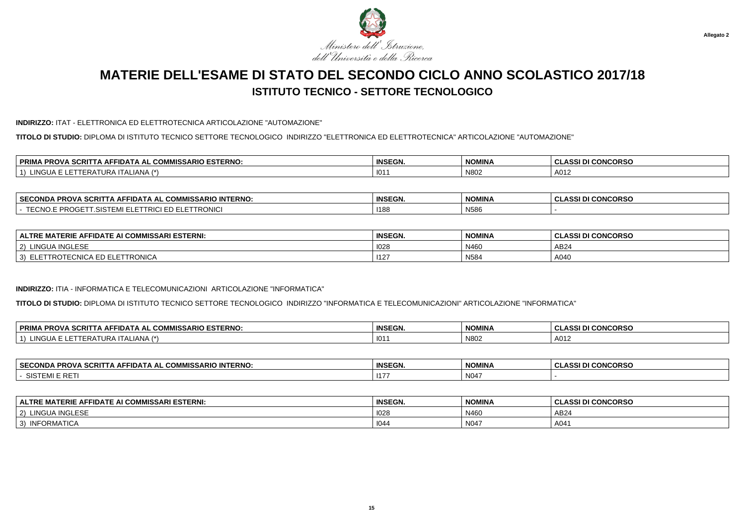

#### **INDIRIZZO:** ITAT - ELETTRONICA ED ELETTROTECNICA ARTICOLAZIONE "AUTOMAZIONE"

**TITOLO DI STUDIO:** DIPLOMA DI ISTITUTO TECNICO SETTORE TECNOLOGICO INDIRIZZO "ELETTRONICA ED ELETTROTECNICA" ARTICOLAZIONE "AUTOMAZIONE"

| CCDIT<br><b>COMMISSARIO ESTERNO:</b><br><b>PRIM</b><br>ווטי<br>FFIDA<br>\ AL<br>. Аг<br>انا 3<br>אשי<br>N.I | <b>INSEGN.</b> | <b>NOMINA</b> | <b>I CONCORSO</b><br>1221<br>833 |
|-------------------------------------------------------------------------------------------------------------|----------------|---------------|----------------------------------|
| 11121<br><b>LALIANA</b><br>NGUA<br>. .<br>ERF<br>UNA                                                        | . 101          | N80.          | A012                             |

| <b>∣ SECONDA</b><br>. PROVA SCRITT<br>NTERNO. ר<br>DIC<br>FIDA I A AL<br>$\ldots$ . A A $\vdash$<br>- JUMMISSAR" -  | <b>INSEGN.</b> | NOMINA | <b>CONCORSO</b><br>ັບLASS! Γ΄ |
|---------------------------------------------------------------------------------------------------------------------|----------------|--------|-------------------------------|
| . <i>.</i><br><b>CIC</b><br><b></b><br>TRONIC<br>' RIC<br>. . nuu<br>- 11.919<br>$\mathsf{L} \mathsf{L} \mathsf{L}$ | 1188           | N586   |                               |

| FFIDATE AI COMMISSARI ESTERNI:<br>: MATERIE AFF<br><b>ALTRE</b>                 | <b>INSEGN.</b> | <b>NOMINA</b> | <b>I CONCORSO</b><br>$\sim$<br>. ASSI D'<br>-GLASSI DI |
|---------------------------------------------------------------------------------|----------------|---------------|--------------------------------------------------------|
| <b>JA INGLESF</b><br><b>LINGUA</b><br>2)                                        | 1028           | N460          | AB24                                                   |
| ' ETTRONICA<br>$20$ NIIO<br>3)<br><u>rn</u><br>TTROTE<br>՟՟՟՟՟<br>ED.<br>EUNIUA | $ 12\rangle$   | N584          | A040                                                   |

#### **INDIRIZZO:** ITIA - INFORMATICA E TELECOMUNICAZIONI ARTICOLAZIONE "INFORMATICA"

**TITOLO DI STUDIO:** DIPLOMA DI ISTITUTO TECNICO SETTORE TECNOLOGICO INDIRIZZO "INFORMATICA E TELECOMUNICAZIONI" ARTICOLAZIONE "INFORMATICA"

| <b>PRIMA</b><br><b>A PROVA SCRITT</b><br>IISSARIO ESTERNO:<br>FIDATA AL<br>∴ ∪UM™<br>. IA AF | <b>INSEGN</b> | <b>NOMINA</b> | I DI CONCORSO<br><b>ULAJJI</b> |
|----------------------------------------------------------------------------------------------|---------------|---------------|--------------------------------|
| ING<br>TI ALIANA<br>, URA 1<br>"י<br>⊢RA                                                     | 101           | N802          | A012                           |

| <b>SECONDA</b><br>A AFFIDATA AL COMMISSARIO INTERNO:<br>$\sim$<br>CRIT<br>-RU<br>. . | <b>INSEGN.</b> | <b>NOMINA</b>    | <b>I CONCORSO</b><br>DI |
|--------------------------------------------------------------------------------------|----------------|------------------|-------------------------|
| 2107<br>ا ت⊔ب<br>.                                                                   | 117            | N <sub>047</sub> |                         |

| <b>MISSARI ESTERNI:</b><br><b>TERIE</b><br><b>FIDATE AI COMMISS</b><br><b>ALTRE</b><br>΄ ΔΕΡ | INSEGN. | <b>NOMINA</b> | <b>I CONCORSO</b><br>יה והה<br>. UL |
|----------------------------------------------------------------------------------------------|---------|---------------|-------------------------------------|
| LINGUA INGLESE<br>$'$ 2)                                                                     | 1028    | N46           | AB24                                |
| INFORMATICA<br>3)                                                                            | 1044    | N047          | A041                                |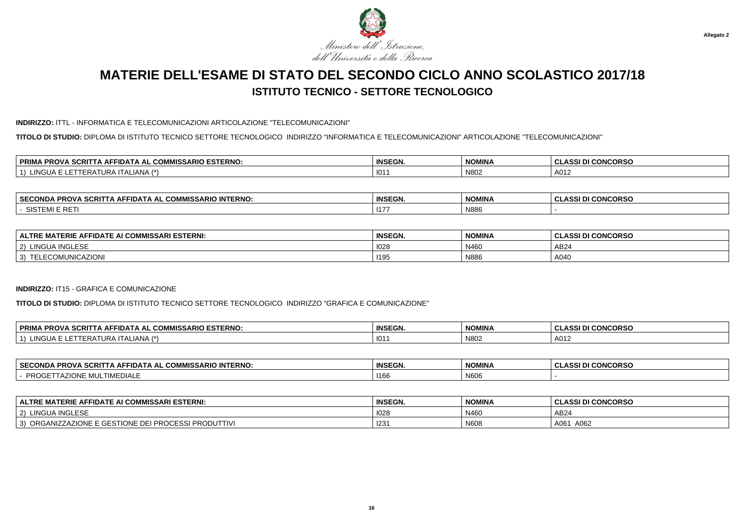

#### **INDIRIZZO:** ITTL - INFORMATICA E TELECOMUNICAZIONI ARTICOLAZIONE "TELECOMUNICAZIONI"

**TITOLO DI STUDIO:** DIPLOMA DI ISTITUTO TECNICO SETTORE TECNOLOGICO INDIRIZZO "INFORMATICA E TELECOMUNICAZIONI" ARTICOLAZIONE "TELECOMUNICAZIONI"

| <i>I</i> IISSARIO ESTERNO:<br>∣ PRIMA<br>$\sim$<br>. SCRIT<br>IA AL COM<br><b>AFFIDA</b><br>TRUV. | <b>INSEGN.</b> | <b>NOMINA</b> | I CONCORSO<br><b>CLASSI</b> |
|---------------------------------------------------------------------------------------------------|----------------|---------------|-----------------------------|
| $\sim$<br>. ALIANA (*`<br>.NGUA<br>$\mathbf{A}$<br>ERA<br>URA                                     | 101            | N80           | A012                        |

| <b>SECO</b><br><b>INTERNO</b><br>.<br>FIDATA AL<br>CRIT<br>ONDA<br>. AF<br>ISSARIL<br>י מט<br>w | <b>INSEGN.</b> | <b>NOMINA</b> | <b>CONCORSO</b><br>$\mathbf{A}$ |
|-------------------------------------------------------------------------------------------------|----------------|---------------|---------------------------------|
| -107<br>ا ت⊔ر<br>" ™                                                                            | . 117          | N886          |                                 |

| <b>MISSARI ESTERNI:</b><br>ERIE AI<br><b>ALTRE</b><br>$\mathbf{r}$<br><b>IDATE</b><br>^-<br><br>u<br>. . | <b>INSEGN.</b> | <b>NOMINA</b> | <b>I CONCORSO</b><br>$\sim$<br>ACC'<br>. ULAJJI DI |
|----------------------------------------------------------------------------------------------------------|----------------|---------------|----------------------------------------------------|
| <b>INGLESF</b><br>2)<br>I INGL<br>$\epsilon$                                                             | 1028           | N460          | AB24                                               |
| ECOMUNICAZIONI<br>3)                                                                                     | 1195           | N886          | A040                                               |

#### **INDIRIZZO:** IT15 - GRAFICA E COMUNICAZIONE

**TITOLO DI STUDIO:** DIPLOMA DI ISTITUTO TECNICO SETTORE TECNOLOGICO INDIRIZZO "GRAFICA E COMUNICAZIONE"

| . PROVA SCRITT<br>. COMMISSARIO ESTERNO:<br><b>PRIM</b><br><b>A AFFIDAT</b><br>$\mathbf{A}$ | <b>INSEGN.</b> | <b>NOMINA</b> | I DI CONCORSO<br>יים ג<br>◡∟∼ |
|---------------------------------------------------------------------------------------------|----------------|---------------|-------------------------------|
| _IANA (*)<br>$\mathbf{1}$<br>$H$ ir $\Delta$<br>'NGUA<br>1 E R A                            | $101^\circ$    | N802          | A012                          |

| <b>SECO</b><br><b>INTERNO</b><br>MICC.<br><b>IMISSARIO</b><br>FII) A I A AI<br>.JND″<br>$\mathbf{R}$<br>ט א<br>ww | <b>INSEGN.</b> | <b>NOMINA</b> | <u>, CONCODEC</u><br><b>UUNUURSU</b> |
|-------------------------------------------------------------------------------------------------------------------|----------------|---------------|--------------------------------------|
| - PRL<br>viui<br>1171LD1/1LL                                                                                      | 1166           | N606          |                                      |

| <b>IMISSARI ESTERNI:</b><br><b>MATE</b><br>TERIE<br>: AFFIDATE AI COMMISSA<br><b>ALTRE</b>       | <b>INSEGN</b> | <b>NOMINA</b> | <b>I CONCORSO</b><br>ASSI DI |
|--------------------------------------------------------------------------------------------------|---------------|---------------|------------------------------|
| LINGUA INGLESE<br>$'$ 2)                                                                         | 1028          | N46           | AB24                         |
| : DEI PROCE<br><b>ESSI PRODUTTIVI</b><br>= GFSTIO<br>3)<br>ANIZZAZIONE L<br>ONF<br><b>ORGANI</b> | 123'          | N608          | A061<br>A062                 |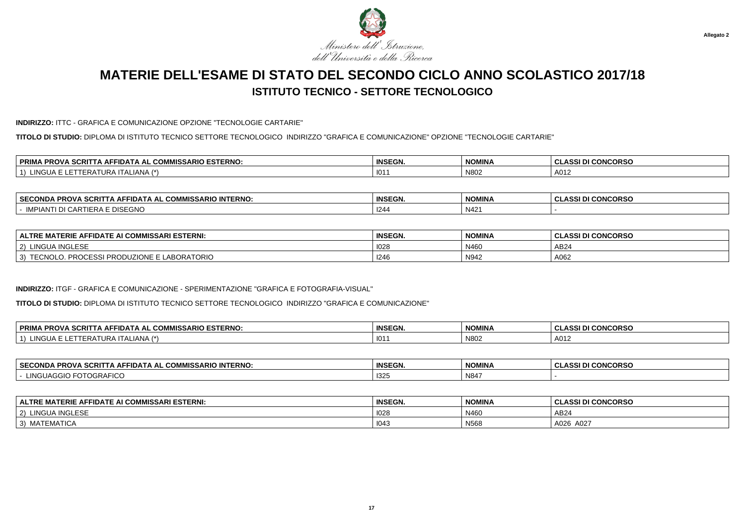

#### **INDIRIZZO:** ITTC - GRAFICA E COMUNICAZIONE OPZIONE "TECNOLOGIE CARTARIE"

**TITOLO DI STUDIO:** DIPLOMA DI ISTITUTO TECNICO SETTORE TECNOLOGICO INDIRIZZO "GRAFICA E COMUNICAZIONE" OPZIONE "TECNOLOGIE CARTARIE"

| . COMMISSARIO ESTERNO:<br><b>DDIM</b><br><b>SCRI</b><br><b>AFFIDAT</b><br>PRO.<br>AL. | <b>INSEGN.</b> | <b>NOMINA</b> | <b>CONCORSO</b><br><b>CLASSI</b> |
|---------------------------------------------------------------------------------------|----------------|---------------|----------------------------------|
| . I A /*`<br>101<br>·RAI<br><b>ALIANA</b><br>IIRH                                     | 101            | N80           | A012                             |

| <b>SECC</b><br><b>INTERNO</b><br><b>110</b> -<br>- הום<br>opov<br>IN AIAU<br>"WISSARIU"<br>56.RI<br>-ĸu.<br>JIVIJA | <b>INSEGN</b>  | NOMINA       | MCDBC<br>$\sim$<br>. .<br>.<br>טעמא<br>u<br>u<br>. |
|--------------------------------------------------------------------------------------------------------------------|----------------|--------------|----------------------------------------------------|
| <b>-^**</b><br>IMPIAN <sub>1</sub><br>טונט∟                                                                        | $\sim$<br>1244 | N421<br>- 12 |                                                    |

| <b>OMMISSARI ESTERNI:</b><br>ERIE<br><b>ALTRE</b><br><br><b>IDATE</b><br>^⊢<br>. . | <b>INSEGN.</b> | <b>NOMINA</b> | <b>I CONCORSO</b><br>$\sim$<br>122 A .<br>. ULAJJI D. |
|------------------------------------------------------------------------------------|----------------|---------------|-------------------------------------------------------|
| <b>INGLESF</b><br><b>TINGL</b><br>2)                                               | 1028           | N460          | AB24                                                  |
| <b>BORATORIO</b><br>. .<br>3)<br>ZIUNE.<br>וכס:<br>וטטא<br>'NUDU<br>◡<br>_ _       | 1246           | N942          | A062                                                  |

### **INDIRIZZO:** ITGF - GRAFICA E COMUNICAZIONE - SPERIMENTAZIONE "GRAFICA E FOTOGRAFIA-VISUAL"

**TITOLO DI STUDIO:** DIPLOMA DI ISTITUTO TECNICO SETTORE TECNOLOGICO INDIRIZZO "GRAFICA E COMUNICAZIONE"

| . COMMISSARIO ESTERNO:<br><b><i>SCRIT</i></b><br><b>PRIM</b><br><b>PROVA</b><br>-IDAT/<br>A AL<br>^`<br>אי<br>. . | <b>INSEGN.</b> | <b>NOMINA</b> | <b>I DI CONCORSO</b><br>והה ג |
|-------------------------------------------------------------------------------------------------------------------|----------------|---------------|-------------------------------|
| i INGUA<br>$1$ A N $1$ A $\rightarrow$<br>FRA<br><b>HANA</b><br>URP<br>II AI                                      | $101^\circ$    | N802          | A012                          |

| <b>SECO</b><br><b>INTERNO</b><br>MICC.<br><b>IMISSARIO</b><br>FIDATA AL<br>JND'<br>$\mathbf{R}$<br>ט א<br>ww | <b>INSEGN.</b> | <b>NOMINA</b> | <u>, CONCODEC</u><br>uunuunau |
|--------------------------------------------------------------------------------------------------------------|----------------|---------------|-------------------------------|
| י הי<br>JGRA'<br>$\Delta I - I$<br>ישו                                                                       | 1325           | N847          |                               |

| E AFFIDATE AI COMMISSARI ESTERNI:<br><b>ALTRE MATERIE</b> | <b>INSEGN</b> | <b>NOMINA</b> | <b>I CONCORSO</b><br><b>ASSI DI</b> |
|-----------------------------------------------------------|---------------|---------------|-------------------------------------|
| <b>LINGUA INGLESE</b><br>$\sim$<br>$\sim$                 | 1028          | N460          | AB24                                |
| ` MATEMATICA<br>$\sim$<br>◡                               | 1043          | N568          | A026<br>A027 د                      |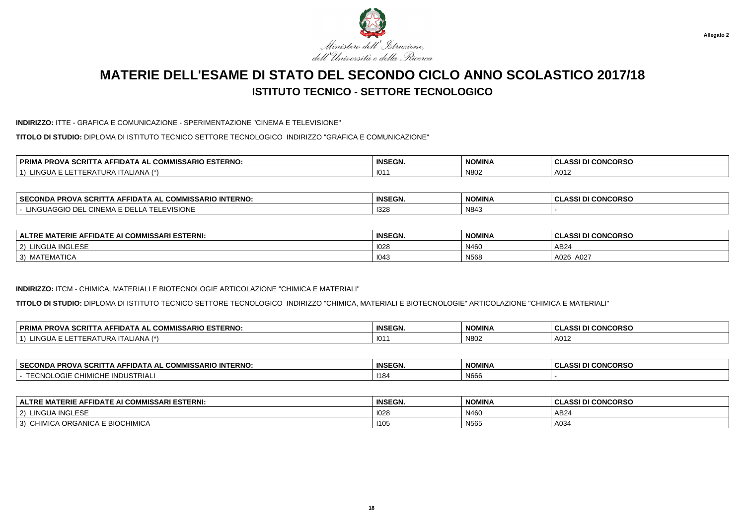

#### **INDIRIZZO:** ITTE - GRAFICA E COMUNICAZIONE - SPERIMENTAZIONE "CINEMA E TELEVISIONE"

**TITOLO DI STUDIO:** DIPLOMA DI ISTITUTO TECNICO SETTORE TECNOLOGICO INDIRIZZO "GRAFICA E COMUNICAZIONE"

| <b>ESTERNO</b><br>-----<br><b>OMMICL</b><br><b>MISSARIO</b><br>סם<br>. .<br>∼iDA ⊨<br><b>SURP</b><br>AL<br>. AF .<br>uum<br>י שר<br>$\overline{\phantom{a}}$ | <b>INSEGN.</b> | <b>NOMINA</b> | <b>CONCORSO</b><br>$\sim$ |
|--------------------------------------------------------------------------------------------------------------------------------------------------------------|----------------|---------------|---------------------------|
| $\overline{1}$<br>111<br>URA<br>-IANA<br>∙RA.<br>$. \mathsf{I}$                                                                                              | 101            | N802          | A012                      |

| <b>⊥ SECONF</b><br><b>1MISSARIO INTERNO.</b><br>$\sim$ MMICC $\sim$<br>. PROV<br>. II) A I A U<br>. SURP<br>EUUNDA<br>ww | <b>INSEGN.</b>      | <b>NOMINA</b>        | <b>CONCORSO</b><br>. .<br>w<br>u<br>333 L |
|--------------------------------------------------------------------------------------------------------------------------|---------------------|----------------------|-------------------------------------------|
| EVISIONE.<br>$\cap$ INEMA L<br>NG HAG G<br>,,,,                                                                          | $\sqrt{2}$<br>5∠3 ا | <b>AIO 44</b><br>N84 |                                           |

| <b>AI COMMISSARI ESTERNI:</b><br>'ERIE AFI<br>FIDATE AI<br><b>ALTRE</b><br>МA | <b>INSEGN.</b> | <b>NOMINA</b> | <b>I CONCORSO</b><br>2001B<br>$\sim$<br>◡<br>833 U |
|-------------------------------------------------------------------------------|----------------|---------------|----------------------------------------------------|
| <b>A INGLESF</b><br>2)<br>LINGU,                                              | 1028           | N460          | AB24                                               |
| $-1$<br>MATEMATICA<br>3)                                                      | 1043           | <b>N568</b>   | A026<br>A027                                       |

### **INDIRIZZO:** ITCM - CHIMICA, MATERIALI E BIOTECNOLOGIE ARTICOLAZIONE "CHIMICA E MATERIALI"

**TITOLO DI STUDIO:** DIPLOMA DI ISTITUTO TECNICO SETTORE TECNOLOGICO INDIRIZZO "CHIMICA, MATERIALI E BIOTECNOLOGIE" ARTICOLAZIONE "CHIMICA E MATERIALI"

| <b>PRIMA</b><br><b>MISSARIO ESTERNO:</b><br>⊿ PROVA SCRIT <sup>∽</sup><br>. COMM<br>FIDATA AL<br>. IA AF | $P^{\text{max}}$<br>INSEGN. | <b>NOMINA</b> | <b>I CONCORSO</b><br>DI<br>۰О. |
|----------------------------------------------------------------------------------------------------------|-----------------------------|---------------|--------------------------------|
| \IIANIA /*\<br><b>ING</b><br>IΑ<br>TI ALIANA<br>, URA '<br>⊢RA                                           | 101                         | N802          | A012                           |

| <b>SECONDA</b><br><b>≏OMMISSARIO INTERNO:</b><br><b>PROVA SCRI.</b><br>-IDATA AL | <b>INSEGN.</b> | <b>NOMINA</b>   | <b>CONCORSO</b><br>.<br>w<br>u<br>. |
|----------------------------------------------------------------------------------|----------------|-----------------|-------------------------------------|
| NDUSTRIAL<br>– ^* ' <i>^</i><br><br>ຑ൛ໞຬ<br>$\cdot$<br>ີ                         | 1184           | $\cdots$<br>N66 |                                     |

| <b>FIDATE AI COMMISSARI ESTERNI:</b><br>ERIE<br><b>AFL</b><br>мл.<br><b>ALTRE</b> | <b>INSEGN.</b> | <b>NOMINA</b> | <b>I DI CONCORSO</b><br>ACCINI<br>$\sim$<br>uladai |
|-----------------------------------------------------------------------------------|----------------|---------------|----------------------------------------------------|
| LINGUA INGLESE<br>$'$ 2)                                                          | 102            | N460          | AB24                                               |
| A ORGANICA E BIOCHIMICA<br>3)<br>$\overline{M}$<br><b>UHIMIUA</b>                 | 1105           | N565          | A03 $\prime$                                       |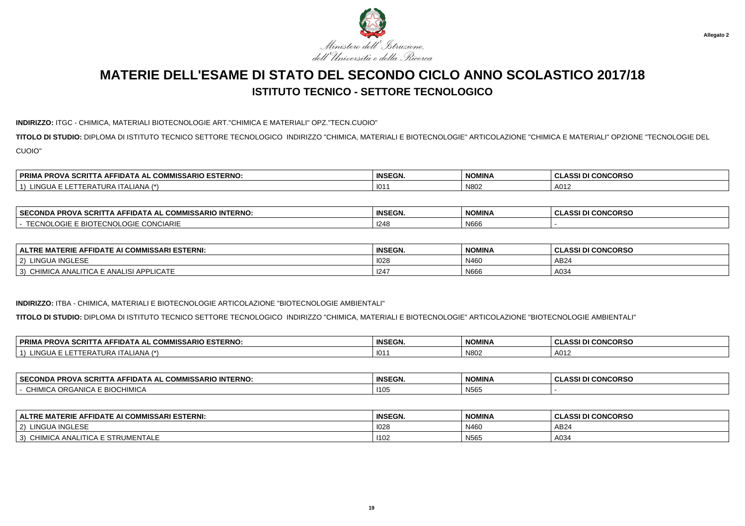

#### **INDIRIZZO:** ITGC - CHIMICA, MATERIALI BIOTECNOLOGIE ART."CHIMICA E MATERIALI" OPZ."TECN.CUOIO"

**TITOLO DI STUDIO:** DIPLOMA DI ISTITUTO TECNICO SETTORE TECNOLOGICO INDIRIZZO "CHIMICA, MATERIALI E BIOTECNOLOGIE" ARTICOLAZIONE "CHIMICA E MATERIALI" OPZIONE "TECNOLOGIE DELCUOIO"

| $R_{\rm max}$ $R_{\rm max}$<br><b>ESTERNO</b><br><b>PRIM.</b><br>0.0111104<br><b>CODIT</b><br><b>PROVA</b><br>FIDA<br>^ ~<br><b>UUMMIJJA</b><br>. JURII<br>טורו<br>$\overline{\phantom{a}}$ | <b>INSEGN.</b> | <b>NOMINA</b> | I CONCORSO<br><b>CLASSI</b> |
|---------------------------------------------------------------------------------------------------------------------------------------------------------------------------------------------|----------------|---------------|-----------------------------|
| ING<br>- 12<br>AIVP                                                                                                                                                                         | 101            | N80           | A012                        |

| ARIO INTERNO:<br><b>SECONDA</b><br>CRIT<br>FIDATA AI<br><b>PROV</b><br>. Ан'<br>uum<br><b>""""</b> "<br>$\overline{\phantom{a}}$ | <b>INSEGN.</b> | <b>NOMINA</b> | <b>I CONCORSO</b><br>$\ddot{\phantom{1}}$<br>DI |
|----------------------------------------------------------------------------------------------------------------------------------|----------------|---------------|-------------------------------------------------|
| <b>CONCIARIE</b><br>$\mathbf{a}$<br>الاات                                                                                        | 24f            | N66           |                                                 |

| <b>ALTRE MATERIE AFFIDATE AI COMMISSARI ESTERNI:</b>  | <b>INSEGN.</b> | <b>NOMINA</b> | <b>CLASSI DI CONCORSO</b> |
|-------------------------------------------------------|----------------|---------------|---------------------------|
| <b>LINGUA INGLESE</b><br>2)                           | 1028           | N460          | AB24                      |
| \ ANALITICA E ANALISI APPLICATE<br>'IMICA<br>CH<br>3) | 124            | N666          | A034                      |

### **INDIRIZZO:** ITBA - CHIMICA, MATERIALI E BIOTECNOLOGIE ARTICOLAZIONE "BIOTECNOLOGIE AMBIENTALI"

**TITOLO DI STUDIO:** DIPLOMA DI ISTITUTO TECNICO SETTORE TECNOLOGICO INDIRIZZO "CHIMICA, MATERIALI E BIOTECNOLOGIE" ARTICOLAZIONE "BIOTECNOLOGIE AMBIENTALI"

| A SCRIT<br><b>COMMISSARIO ESTERNO.</b><br><b>PRIM</b><br>. PRO <sup>V</sup><br><b>AFFIDATA</b><br>، AL | <b>INSEGN.</b> | <b>NOMINA</b> | I DI CONCORSO<br>$\sim$<br>.<br>◡└<br>וכיר |
|--------------------------------------------------------------------------------------------------------|----------------|---------------|--------------------------------------------|
| N <br>$1 \wedge 7 \star$<br>$\mathbf{v}$<br>URAILA<br>-RA I<br>NGUA<br>ALIANA                          | 101            | N802          | A012                                       |

| <b>SECOND</b><br>. COMMISSARIO INTERNO:<br><b>SCRI</b><br><b>DDOVA</b><br>.<br>FIDATA AL<br>IVIJA<br>FRUM | <b>INSEGN.</b> | <b>NOMINA</b>               | <b>I CONCORSO</b><br>0.00 |
|-----------------------------------------------------------------------------------------------------------|----------------|-----------------------------|---------------------------|
| $\overline{a}$ DIOOLIBUO N<br>IN 81C<br>$\cdots$<br>~'<br><b>BIOCHIMICA</b><br>. URGANIGA F<br>$\cdots$   | . 110          | $\mathbf{A}$<br><b>INOO</b> |                           |

| <b>ATERIE AFFIDATE AI COMMISSARI ESTERNI:</b><br><b>ALTRE</b><br>T A N | <b>INSEGN.</b> | <b>NOMINA</b> | <b>II CONCORSO</b><br>וה והה<br>. |
|------------------------------------------------------------------------|----------------|---------------|-----------------------------------|
| <b>JA INGLESF</b><br>LINGU<br>$'$ 2)                                   | 1028           | N460          | AB24                              |
| 3)<br>CHIMICA ANALITICA E STRUMENTALE                                  | 1102           | N565          | A034                              |

**19**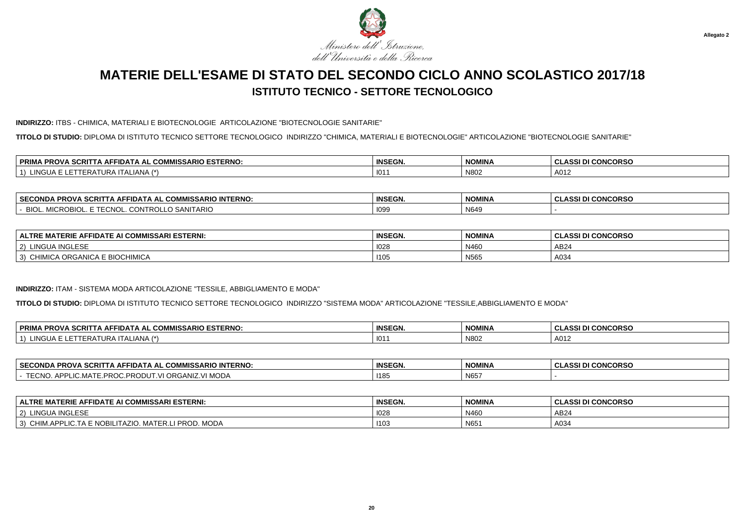

#### **INDIRIZZO:** ITBS - CHIMICA, MATERIALI E BIOTECNOLOGIE ARTICOLAZIONE "BIOTECNOLOGIE SANITARIE"

**TITOLO DI STUDIO:** DIPLOMA DI ISTITUTO TECNICO SETTORE TECNOLOGICO INDIRIZZO "CHIMICA, MATERIALI E BIOTECNOLOGIE" ARTICOLAZIONE "BIOTECNOLOGIE SANITARIE"

| <b>PRIM</b><br>L COMMISSARIO ESTERNO:<br>\ SCRIT<br>סם<br>'TA AFFIDATA<br>. AL<br>7 N U V<br>ww | <b>INSEGN.</b> | <b>NOMINA</b> | <b>I CONCORSO</b><br><b>CLASSI</b> |
|-------------------------------------------------------------------------------------------------|----------------|---------------|------------------------------------|
| 1 A /*<br><br>$\mathbf{H}$<br><b>ALIANA</b><br>'RAI<br>JRA                                      | 101            | N80           | A012                               |

| . SECC<br><b>INTERNO</b><br>$-0.0$<br>COMMISSARIO<br><b>PRO'</b><br>FIDATA AL<br><b>ECONDA</b><br>AF<br><b>SURI</b> | <b>INSEGN.</b> | <b>NIOMINIA</b><br>NOMINA | <b>CONCORSO</b><br>uladai |
|---------------------------------------------------------------------------------------------------------------------|----------------|---------------------------|---------------------------|
| SANITARIO<br><b>BIO</b><br>מוחי<br>$\sqrt{2}$<br>≓CNO′<br>OMIT<br>יז ה<br>"VIIUNUDIUL.<br>◡<br>ື<br>,,,,,           | 109            | N649                      |                           |

| <b>ALTRE MATERIE AFFIDATE AI COMMISSARI ESTERNI:</b> | <b>INSEGN.</b> | <b>NOMINA</b> | <b>I CONCORSO</b><br>$\sim$<br>. ASSI D'<br>. CLASSI DI |
|------------------------------------------------------|----------------|---------------|---------------------------------------------------------|
| <b>JA INGLESF</b><br>LINGUA<br>2)                    | 1028           | N460          | AB24                                                    |
| ORGANICA E BIOCHIMICA<br>3)<br>MICA ORGA<br>$\sim$   | 1105           | <b>N565</b>   | A034                                                    |

#### **INDIRIZZO:** ITAM - SISTEMA MODA ARTICOLAZIONE "TESSILE, ABBIGLIAMENTO E MODA"

**TITOLO DI STUDIO:** DIPLOMA DI ISTITUTO TECNICO SETTORE TECNOLOGICO INDIRIZZO "SISTEMA MODA" ARTICOLAZIONE "TESSILE,ABBIGLIAMENTO E MODA"

| <b>PRIM/</b><br>IISSARIO ESTERNO:<br>⊿ PROVA SCRIT <sup>-</sup><br><br>FIDATA AL<br>∴ COM™<br>. IA AF | <b>INSEGN</b> | <b>NOMINA</b> | I DI CONCORSO<br>.<br>◡∟∼ |
|-------------------------------------------------------------------------------------------------------|---------------|---------------|---------------------------|
| $\Lambda$ /*<br>ING.<br>. II ALIANA<br>, URA 1<br>IΑ                                                  | 101           | N802          | A011                      |

| <b>SECONDA</b><br><b>PROVA SCRI.</b><br><b>≏OMMISSARIO INTERNO:</b><br>-IDATA AL<br>. IA AF'          | <b>INSEGN.</b> | NOMINA                   | <b>CONCORSO</b><br>.<br>u<br>---- |
|-------------------------------------------------------------------------------------------------------|----------------|--------------------------|-----------------------------------|
| $T T \cap 1$<br>MODA<br><b>DDAN</b><br>`ΔNIΣ<br>. APP'<br>∵MA⊥∟<br>אי ∵<br>EUNU.<br>- NUDU .<br>NUU.I | 118            | ALO <sub>E</sub><br>N657 |                                   |

| <b>ALTRE MATERIE AFFIDATE AI COMMISSARI ESTERNI:</b>                                             | <b>INSEGN.</b> | <b>NOMINA</b> | ASSI DI CONCORSO |
|--------------------------------------------------------------------------------------------------|----------------|---------------|------------------|
| LINGUA INGLESE<br>$\sim$<br>-2)                                                                  | 1028           | N460          | AB24             |
| 10T<br><b>I PROD. MODA</b><br>CHIM.APPL<br><b>E NOBILITAZIO</b><br>MATFR I<br>$\sim$<br>LIG.TA 1 | 1103           | N651          | A034             |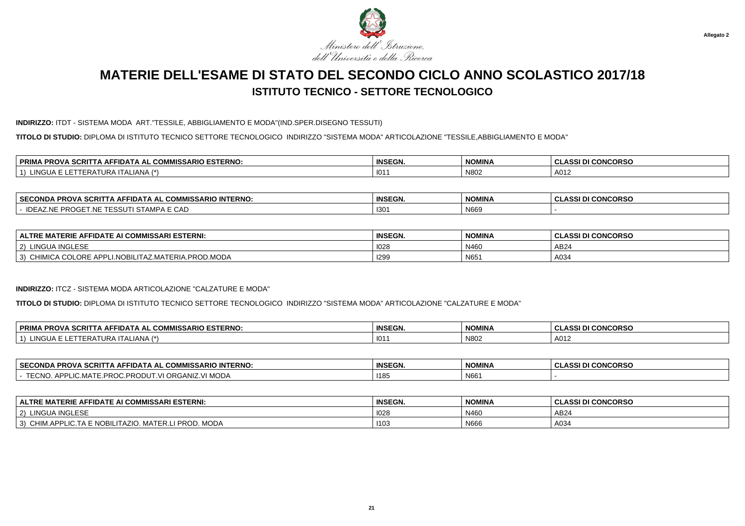

#### **INDIRIZZO:** ITDT - SISTEMA MODA ART."TESSILE, ABBIGLIAMENTO E MODA"(IND.SPER.DISEGNO TESSUTI)

**TITOLO DI STUDIO:** DIPLOMA DI ISTITUTO TECNICO SETTORE TECNOLOGICO INDIRIZZO "SISTEMA MODA" ARTICOLAZIONE "TESSILE,ABBIGLIAMENTO E MODA"

| <b>SCRIT</b><br><b>SARIO ESTERNO.</b><br><b>DDIM</b><br>COMMICL<br>---<br>IA PROVA<br>. .<br>△⊢<br>·IDA<br>'IVIIJJAKIU<br>n<br>ww<br>. . | <b>INSEGN.</b> | <b>NOMINA</b> | <b>CONCORSO</b><br><b>CLASSI</b> |
|------------------------------------------------------------------------------------------------------------------------------------------|----------------|---------------|----------------------------------|
| $\overline{1}$<br>$\blacksquare$<br>ALIANA<br>-11A<br>$\mathbf{A}$<br>.                                                                  | 101            | N80.          | A012                             |

| ⊢SECC<br>$\sim$<br>. COMMISSARIO INTERNO:<br><b>`PROVA SCR∟</b><br>ECONDA<br>-IDA I A AL | <b>INSEGN.</b>   | <b>NOMINA</b>               | <b>CONCORSO</b><br>$\sim$<br>. $\Lambda$ CCI $\Gamma$ .<br>533 L<br>◡└ |
|------------------------------------------------------------------------------------------|------------------|-----------------------------|------------------------------------------------------------------------|
| $\overline{\phantom{a}}$<br>11 L<br>LNE.<br>. д.<br>UAL<br><b>AIV</b><br>wu<br>. .       | 130 <sup>4</sup> | $\mathbf{h}$<br><b>NOO:</b> |                                                                        |

| <b>NI COMMISSARI ESTERNI.</b><br>FIDATE AI<br>ERIE AI<br><b>ALTRE</b><br>^⊢<br>.                                                               | <b>INSEGN.</b> | <b>NOMINA</b>      | <b>I CONCORSO</b><br><b>ASSI</b> |
|------------------------------------------------------------------------------------------------------------------------------------------------|----------------|--------------------|----------------------------------|
| A INGLESE<br>2)<br>LINGU,<br>$\epsilon$                                                                                                        | 1028           | N460               | AB24                             |
| <b>ADDI</b><br>ORE <sub>E</sub><br>ROD.MODA~<br>3)<br>$\sim$<br><b>IOBL</b><br>10 <sup>2</sup><br>LITAZ.MATERIA.PR(<br>vu <i>r</i><br>$\cdots$ | 1299           | <b>NICI</b><br>N65 | A034                             |

#### **INDIRIZZO:** ITCZ - SISTEMA MODA ARTICOLAZIONE "CALZATURE E MODA"

**TITOLO DI STUDIO:** DIPLOMA DI ISTITUTO TECNICO SETTORE TECNOLOGICO INDIRIZZO "SISTEMA MODA" ARTICOLAZIONE "CALZATURE E MODA"

| <b>PROVA SCRIT</b><br><b>PRIM</b><br><b>MISSARIO ESTERNO:</b><br><b>COMMISSA</b><br>$\mathbf{A}$ AFFIDAT $\mathbf{A}$<br><b>ΔΙ</b> | $P^{\text{max}}$<br>INSEGN. | <b>NOMINA</b> | I DI CONCORSO<br><b>ULAJJ</b> |
|------------------------------------------------------------------------------------------------------------------------------------|-----------------------------|---------------|-------------------------------|
| $\sim$<br>(*) IANA<br>. IR 1<br>'NGUA<br>'ERA                                                                                      | 101                         | N802          | A012                          |

| <b>SECONDA</b><br><b>PROVA SCRI.</b><br><b>^OMMISSARIO INTERNO:</b><br>-IDATA AL<br>. IA AF'          | <b>INSEGN.</b> | NOMINA                      | <b>CONCORSO</b><br>$\cdots$<br>u<br>- 33 |
|-------------------------------------------------------------------------------------------------------|----------------|-----------------------------|------------------------------------------|
| $T T \cap 1$<br>MODA<br><b>DDAN</b><br>`ΔNIΣ<br>. APP'<br>∵MA⊥∟<br>אי ∵<br>EUNU.<br>- NUDU .<br>NUU.I | 118            | <b>ALCO4</b><br><b>INDD</b> |                                          |

| <b>ALTRE MATERIE AFFIDATE AI COMMISSARI ESTERNI:</b>                                             | <b>INSEGN.</b> | <b>NOMINA</b> | ASSI DI CONCORSO<br>ノ∟冖៶ |
|--------------------------------------------------------------------------------------------------|----------------|---------------|--------------------------|
| LINGUA INGLESE<br>$\sim$<br>-2)                                                                  | 1028           | N460          | AB24                     |
| 10T<br><b>I PROD. MODA</b><br>CHIM.APPL<br><b>E NOBILITAZIO</b><br>MATFR I<br>$\sim$<br>LIG.TA 1 | 1103           | N666          | A034                     |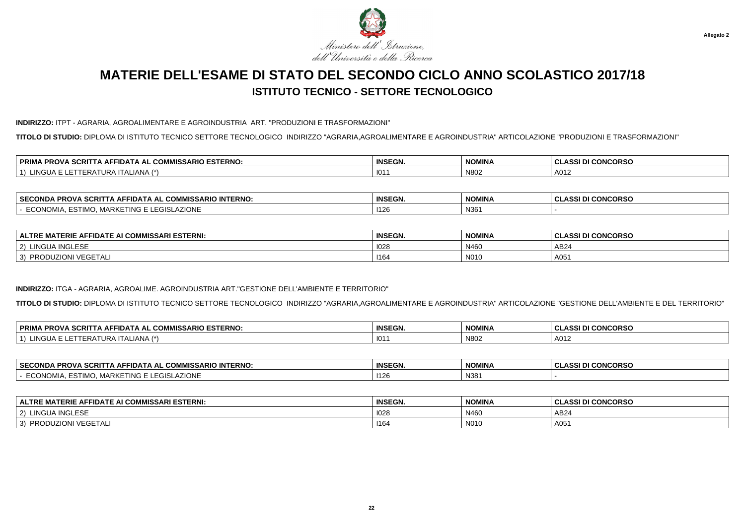

#### **INDIRIZZO:** ITPT - AGRARIA, AGROALIMENTARE E AGROINDUSTRIA ART. "PRODUZIONI E TRASFORMAZIONI"

**TITOLO DI STUDIO:** DIPLOMA DI ISTITUTO TECNICO SETTORE TECNOLOGICO INDIRIZZO "AGRARIA,AGROALIMENTARE E AGROINDUSTRIA" ARTICOLAZIONE "PRODUZIONI E TRASFORMAZIONI"

| <b>SCRIT</b><br><b>IMISSARIO ESTERNO:</b><br>. DDIM<br>$\sim$ $\sim$ $\sim$ $\sim$<br>.<br>. PROVA<br>. AF'<br>- IDA I /<br>.<br>uum<br><b>KINA</b><br>$\blacksquare$<br>-- | <b>INSEGN</b><br>con. | <b>NOMINA</b> | <b>CONCORSO</b><br><b>CLASSI</b> |
|-----------------------------------------------------------------------------------------------------------------------------------------------------------------------------|-----------------------|---------------|----------------------------------|
| $\overline{1}$<br>_IANA<br>.NGUA.<br><b>INA</b><br>UNF                                                                                                                      | . 101                 | N80           | A012                             |

| <b>SECC</b><br><b>INTERNO:</b><br>$\sim$<br>. COMMISSARIO<br><b>PROVA</b><br><b>ECONDA</b><br>-IDATA AL<br>SCRI | <b>INSEGN.</b> | <b>NOMINA</b> | <b>CONCORSO</b><br>.<br>. <b>.</b> |
|-----------------------------------------------------------------------------------------------------------------|----------------|---------------|------------------------------------|
| <b>AZIONE</b><br>$\sim$<br>ີ MARKETING E ∟∟<br>$\sim 10^{-1}$<br>$\sim$<br>ESTIMU.<br>LUIULAZIUITL              | 140<br>TLZD.   | N36'          |                                    |

| <b>FIDATE AI COMMISSARI ESTERNI:</b><br><b>TERIE AFF</b><br><b>ALTRE</b><br>∵MA ⊾ | <b>INSEGN.</b> | <b>NOMINA</b> | <b>I CONCORSO</b><br>.001D.<br>$\sim$<br>833 U<br>◡ |
|-----------------------------------------------------------------------------------|----------------|---------------|-----------------------------------------------------|
| <b>A INGLESF</b><br>LINGU/<br>2)                                                  | 1028           | N460          | AB <sub>24</sub>                                    |
| <b>I VEGETAL</b><br>ייו∪ט שנ<br><b>ZION</b><br>3)<br>PRODUZ                       | 1164           | N010          | A05                                                 |

### **INDIRIZZO:** ITGA - AGRARIA, AGROALIME. AGROINDUSTRIA ART."GESTIONE DELL'AMBIENTE E TERRITORIO"

**TITOLO DI STUDIO:** DIPLOMA DI ISTITUTO TECNICO SETTORE TECNOLOGICO INDIRIZZO "AGRARIA,AGROALIMENTARE E AGROINDUSTRIA" ARTICOLAZIONE "GESTIONE DELL'AMBIENTE E DEL TERRITORIO"

| <b>PRIMA</b><br>ISSARIO ESTERNO:<br><b>CODIT</b><br><b>PROVA</b><br>-IDA I /<br>.COMP<br>A AL<br>. ан<br>A JURII<br>$\overline{\phantom{a}}$ | <b>INSEGN.</b> | <b>NOMINA</b> | I CONCORSO<br>0.001 <sub>0</sub><br>$\sim$<br>9331 D.<br>u |
|----------------------------------------------------------------------------------------------------------------------------------------------|----------------|---------------|------------------------------------------------------------|
| IANDA<br>ING<br>. II ALIANA<br>URA<br>4 ו<br>⊢₩∆                                                                                             | 101            | N802          | A012                                                       |

| <b>SECOND.</b><br><b>INTERNO:</b><br>…wMlee<br><b>IISSARIO</b><br>FIDATA<br>. АІ<br>Δ⊨<br>ט א | <b>INSEGN.</b> | <b>NOMINA</b> | <b>SDCC</b><br>$\cdots$<br>พบบหอเ<br>u<br>-331<br>u |
|-----------------------------------------------------------------------------------------------|----------------|---------------|-----------------------------------------------------|
| ZION<br>יטאוו<br><b>IARN</b><br>$\sim$<br>. w<br>.                                            | 1400<br>1120   | N381          |                                                     |

| E AI COMMISSARI ESTERNI:<br>ALTRE MATT<br><b>A</b><br>$\overline{\phantom{a}}$ of affidate $\overline{\phantom{a}}$<br>MATERIE. | <b>INSEGN.</b> | <b>NOMINA</b> | <b>I CONCORSO</b><br>.  .<br>◡<br>833 U |
|---------------------------------------------------------------------------------------------------------------------------------|----------------|---------------|-----------------------------------------|
| <b>JA INGLESE</b><br>$\sqrt{2}$<br>LINGUA.                                                                                      | 1028           | N460          | AB24                                    |
| 1/TQFTA<br><b>DDC</b><br>/⊢(-i⊢<br>- 21<br>NU<br><b>LIVII</b><br>. VLJLIALI                                                     | 1164           | <b>N010</b>   | A05                                     |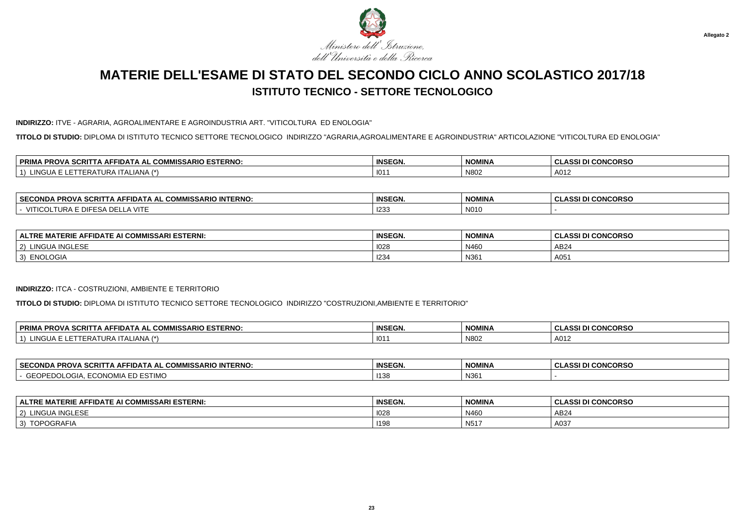

**INDIRIZZO:** ITVE - AGRARIA, AGROALIMENTARE E AGROINDUSTRIA ART. "VITICOLTURA ED ENOLOGIA"

**TITOLO DI STUDIO:** DIPLOMA DI ISTITUTO TECNICO SETTORE TECNOLOGICO INDIRIZZO "AGRARIA,AGROALIMENTARE E AGROINDUSTRIA" ARTICOLAZIONE "VITICOLTURA ED ENOLOGIA"

| . COMMISSARIO ESTERNO:<br><b>DDIM</b><br><b>SCRI</b><br><b>AFFIDAT</b><br>PRO.<br>AL. | <b>INSEGN.</b> | <b>NOMINA</b> | <b>CONCORSO</b><br><b>CLASSI</b> |
|---------------------------------------------------------------------------------------|----------------|---------------|----------------------------------|
| . I A /*`<br>101<br>·RAI<br><b>ALIANA</b><br>IIRH                                     | 101            | N80           | A012                             |

| <b>SECC</b><br>$\sim$<br><b>INTERNO:</b><br>. COMMISSARIO<br><b>PROVA</b><br><b>ECONDA</b><br>-IDATA AL<br>SCRI | <b>INSEGN.</b> | <b>NOMINA</b> | <b>CONCORSO</b><br>.<br>uladai |
|-----------------------------------------------------------------------------------------------------------------|----------------|---------------|--------------------------------|
| . VIT<br>VITI<br>∩⊏<br>$\overline{\phantom{a}}$<br>TUR.<br>: יוש:<br>A 711 L<br>– w                             | 1233           | N010          |                                |

| <b>FIDATE AI COMMISSARI ESTERNI:</b><br><b>TERIE A.</b><br>. .<br><b>ALTRE</b><br>Δ⊢<br>MAI | <b>INSEGN.</b> | <b>NOMINA</b> | <b>I CONCORSO</b><br>30015<br>$\sim$<br>◡∟<br>333 U |
|---------------------------------------------------------------------------------------------|----------------|---------------|-----------------------------------------------------|
| <b>AINGLESF</b><br>LINGU/<br>(2)                                                            | 1028           | N460          | AB <sub>24</sub>                                    |
| ENOLOGIA<br>3)                                                                              | 1234           | N361          | A05                                                 |

#### **INDIRIZZO:** ITCA - COSTRUZIONI, AMBIENTE E TERRITORIO

**TITOLO DI STUDIO:** DIPLOMA DI ISTITUTO TECNICO SETTORE TECNOLOGICO INDIRIZZO "COSTRUZIONI,AMBIENTE E TERRITORIO"

| . PROVA SCRITT<br>. COMMISSARIO ESTERNO:<br><b>PRIM</b><br><b>A AFFIDAT</b><br>$\mathbf{A}$ | <b>INSEGN.</b> | <b>NOMINA</b> | I DI CONCORSO<br>יים ג<br>◡∟∼ |
|---------------------------------------------------------------------------------------------|----------------|---------------|-------------------------------|
| _IANA (*)<br>$\mathbf{1}$<br>$H$ ir $\Delta$<br>'NGUA<br>1 E R A                            | $101^\circ$    | N802          | A012                          |

| ⊥ SEC≦<br><b>ERNO</b><br>---<br><b>AICC</b><br><b>IMISSARIO</b><br>FIDATA AL<br>.<br>JNU<br>ט אי<br> | <b>INSEGN.</b> | <b>NOMINA</b> | ๛๛๛๛<br>--<br><b>ULA</b> |
|------------------------------------------------------------------------------------------------------|----------------|---------------|--------------------------|
| . <i>. .</i><br><b>rnn</b><br>ESTIMO<br>JIP<br>טוי<br>$\cdots$                                       | 1400<br>.      | N361          |                          |

| <b>I COMMISSARI ESTERNI:</b><br>. BAA"<br><b>ATERIE</b><br><b>ALTRE</b><br><b>AFFIDATE</b><br>∠ AI′ | <b>INSEGN</b> | <b>NOMINA</b>    | <b>I CONCORSO</b><br>$\sim$<br>DI. |
|-----------------------------------------------------------------------------------------------------|---------------|------------------|------------------------------------|
| LINGUA INGLESE<br>$\sim$<br>∼                                                                       | 1028          | N460             | AB24                               |
| OGRAFIA<br>TNPNGR<br>$\cdot$                                                                        | 1198          | N <sub>517</sub> | A037                               |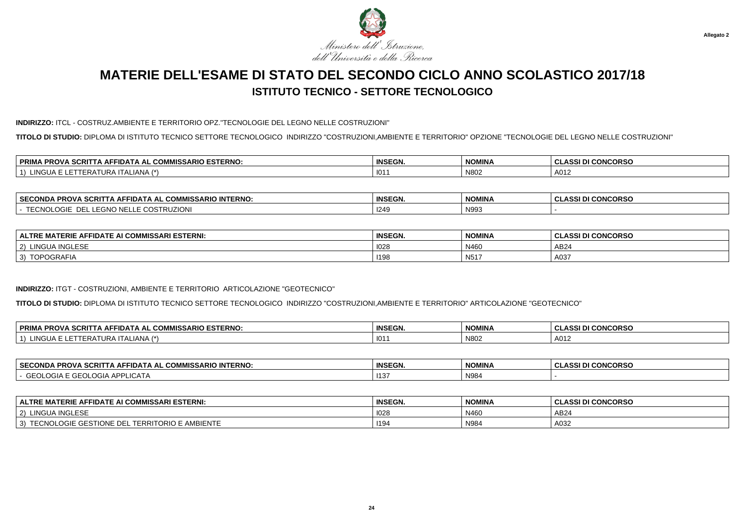

#### **INDIRIZZO:** ITCL - COSTRUZ.AMBIENTE E TERRITORIO OPZ."TECNOLOGIE DEL LEGNO NELLE COSTRUZIONI"

**TITOLO DI STUDIO:** DIPLOMA DI ISTITUTO TECNICO SETTORE TECNOLOGICO INDIRIZZO "COSTRUZIONI,AMBIENTE E TERRITORIO" OPZIONE "TECNOLOGIE DEL LEGNO NELLE COSTRUZIONI"

| . er<br><b>MISSARIO ESTERNO:</b><br><b>DDIM</b><br>$\sim$ $\sim$ $\sim$ $\sim$<br><b>DDOV</b><br>-SCRIL<br>. АН'<br>∼IDА ∟<br>. ат<br>"RUV"<br>uum<br>. .<br>-- | <b>INSEGN.</b> | <b>NOMINA</b> | <b>CONCORSO</b><br>0.00 |
|-----------------------------------------------------------------------------------------------------------------------------------------------------------------|----------------|---------------|-------------------------|
| $\overline{1}$<br>. <i>.</i><br>-IANA<br>URP<br>- IIIA<br>$\sqrt{2}$                                                                                            | 101            | N80           | A012                    |

| <b>SECONDA</b><br><b>IISSARIO INTERNO:</b><br>PROVA SCRIT<br><b>CON</b><br>$\ldots$ A AFFIDATA AL $\sim$<br>ושט א | <b>INSEGN.</b> | <b>NOMINA</b> | <b>CONCORSO</b><br>$\sim$<br>uladai |
|-------------------------------------------------------------------------------------------------------------------|----------------|---------------|-------------------------------------|
| : COSTRUZIONI<br>--<br>- - 1. . <i>. .</i><br>►<br>=UNU<br>LUGIE<br>- -- <b>JIVU</b> IV<br>◡                      | 1249           | N993          |                                     |

| : AFFIDATE AI COMMISSARI ESTERNI:<br><b>MATERIE</b><br><b>ALTRE</b> | <b>INSEGN.</b> | <b>NOMINA</b>    | <b>I CONCORSO</b><br>10011<br>ULAJJI DI |
|---------------------------------------------------------------------|----------------|------------------|-----------------------------------------|
| A INGLESE.<br>LINGU/<br>2)<br><b>INGLESE</b>                        | 1028           | N460             | AB24                                    |
| <b>TODOODAFL</b><br>3)<br><b>JGRAFIA</b><br>. ب                     | 1198           | N <sub>517</sub> | A037                                    |

### **INDIRIZZO:** ITGT - COSTRUZIONI, AMBIENTE E TERRITORIO ARTICOLAZIONE "GEOTECNICO"

**TITOLO DI STUDIO:** DIPLOMA DI ISTITUTO TECNICO SETTORE TECNOLOGICO INDIRIZZO "COSTRUZIONI,AMBIENTE E TERRITORIO" ARTICOLAZIONE "GEOTECNICO"

| <b>A SCRIT</b><br><b>PRIM</b><br>SSARIO ESTERNO:<br>0.011110<br><b>PROVA</b><br>. IDA⊤<br>A AL<br>л.<br>www<br>AAAT | $P^{\text{max}}$<br>INSEGN. | <b>NOMINA</b> | <b>CONCORSO</b><br>^^^<br>ш. |
|---------------------------------------------------------------------------------------------------------------------|-----------------------------|---------------|------------------------------|
| 101C<br>$\rightarrow$<br>⊢⊌∆<br>.IANA<br>, URA '<br>II AL<br><b>LINGUA</b>                                          | 101                         | N802          | A012                         |

| <b>SECONDA</b><br><b>PROVA SCRI.</b><br>ິ ≏OMMISSARIO INTERNO:<br>-IDATA AL<br>. IA AF' | <b>INSEGN.</b> | <b>NOMINA</b> | <b>CONCORSO</b><br>$\cdots$<br>u<br>- 33 |
|-----------------------------------------------------------------------------------------|----------------|---------------|------------------------------------------|
| $\sim$ $\sim$<br>$\overline{A}$ ADDI <sup>1</sup><br>I OG<br>LICA I A<br>$H = H$        | 113            | N984          |                                          |

| <b>ALTRE MATERIE AFFIDATE AI COMMISSARI ESTERNI:</b>                                                                         | <b>INSEGN.</b> | <b>NOMINA</b> | <b>CLASSI DI CONCORSO</b> |
|------------------------------------------------------------------------------------------------------------------------------|----------------|---------------|---------------------------|
| LINGUA INGLESE<br>$\sim$<br>-2)                                                                                              | 1028           | N460          | AB24                      |
| E GESTIONE DEL<br>: AMBIENTE<br>$\sim$ $\sim$ $\sim$ $\sim$<br><b>TERRITORIO</b> L<br><b>TECNOL</b><br>$\sim$<br>I EUNULUGIE | 1194           | N984          | A032                      |